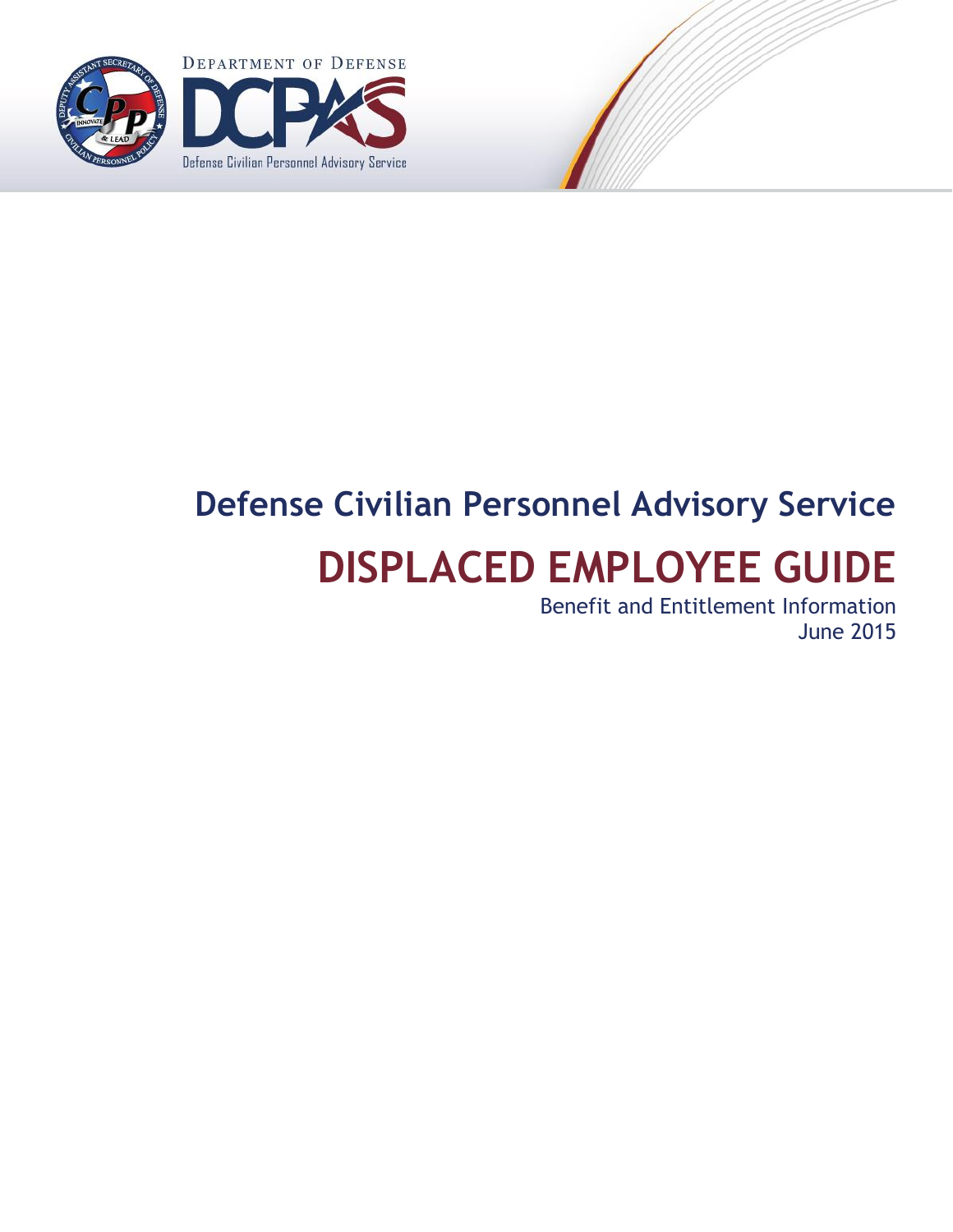

# **Defense Civilian Personnel Advisory Service DISPLACED EMPLOYEE GUIDE**

Benefit and Entitlement Information June 2015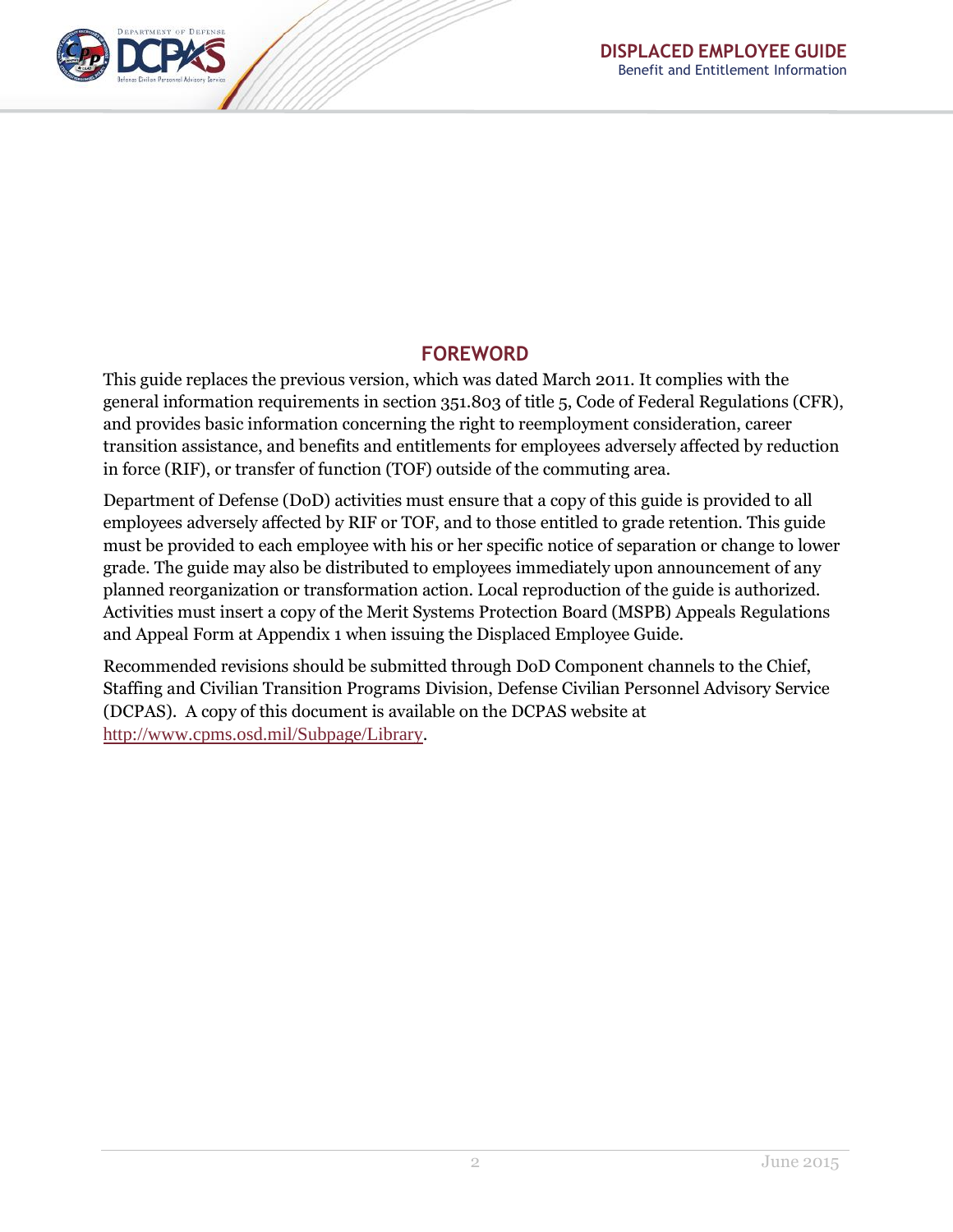

## **FOREWORD**

This guide replaces the previous version, which was dated March 2011. It complies with the general information requirements in section 351.803 of title 5, Code of Federal Regulations (CFR), and provides basic information concerning the right to reemployment consideration, career transition assistance, and benefits and entitlements for employees adversely affected by reduction in force (RIF), or transfer of function (TOF) outside of the commuting area.

Department of Defense (DoD) activities must ensure that a copy of this guide is provided to all employees adversely affected by RIF or TOF, and to those entitled to grade retention. This guide must be provided to each employee with his or her specific notice of separation or change to lower grade. The guide may also be distributed to employees immediately upon announcement of any planned reorganization or transformation action. Local reproduction of the guide is authorized. Activities must insert a copy of the Merit Systems Protection Board (MSPB) Appeals Regulations and Appeal Form at Appendix 1 when issuing the Displaced Employee Guide.

Recommended revisions should be submitted through DoD Component channels to the Chief, Staffing and Civilian Transition Programs Division, Defense Civilian Personnel Advisory Service (DCPAS). A copy of this document is available on the DCPAS website at <http://www.cpms.osd.mil/Subpage/Library>.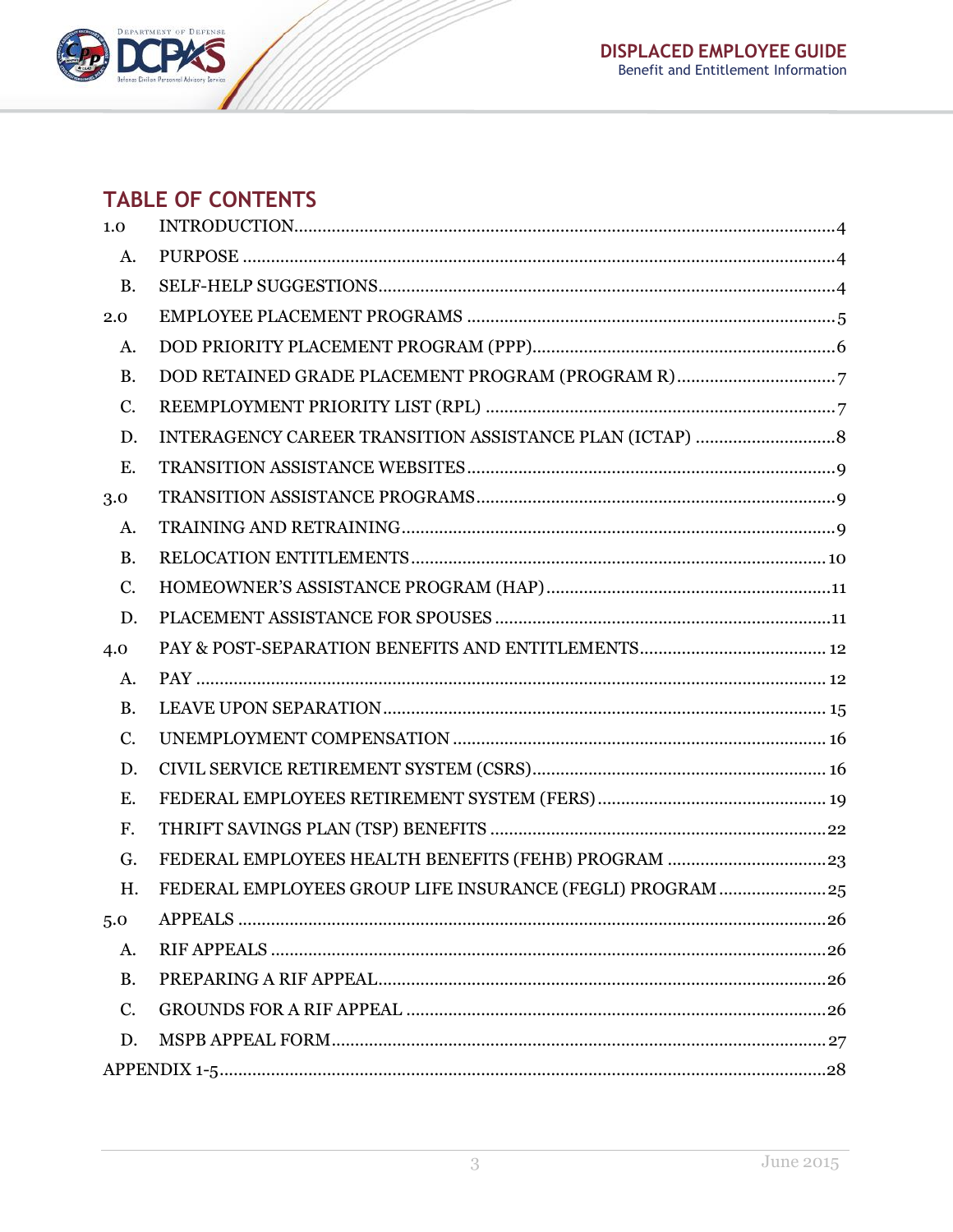

## **TABLE OF CONTENTS**

| 1.0         |                                                           |
|-------------|-----------------------------------------------------------|
| A.          |                                                           |
| <b>B.</b>   |                                                           |
| 2.0         |                                                           |
| A.          |                                                           |
| <b>B.</b>   |                                                           |
| C.          |                                                           |
| D.          |                                                           |
| Ε.          |                                                           |
| 3.0         |                                                           |
| A.          |                                                           |
| <b>B.</b>   |                                                           |
| $C_{\cdot}$ |                                                           |
| D.          |                                                           |
| 4.0         |                                                           |
| A.          |                                                           |
| <b>B.</b>   |                                                           |
| C.          |                                                           |
| D.          |                                                           |
| Ε.          |                                                           |
| F.          |                                                           |
| G.          |                                                           |
| Η.          | FEDERAL EMPLOYEES GROUP LIFE INSURANCE (FEGLI) PROGRAM 25 |
| 5.0         |                                                           |
| A.          |                                                           |
| <b>B.</b>   |                                                           |
| $C_{\cdot}$ |                                                           |
| D.          |                                                           |
|             |                                                           |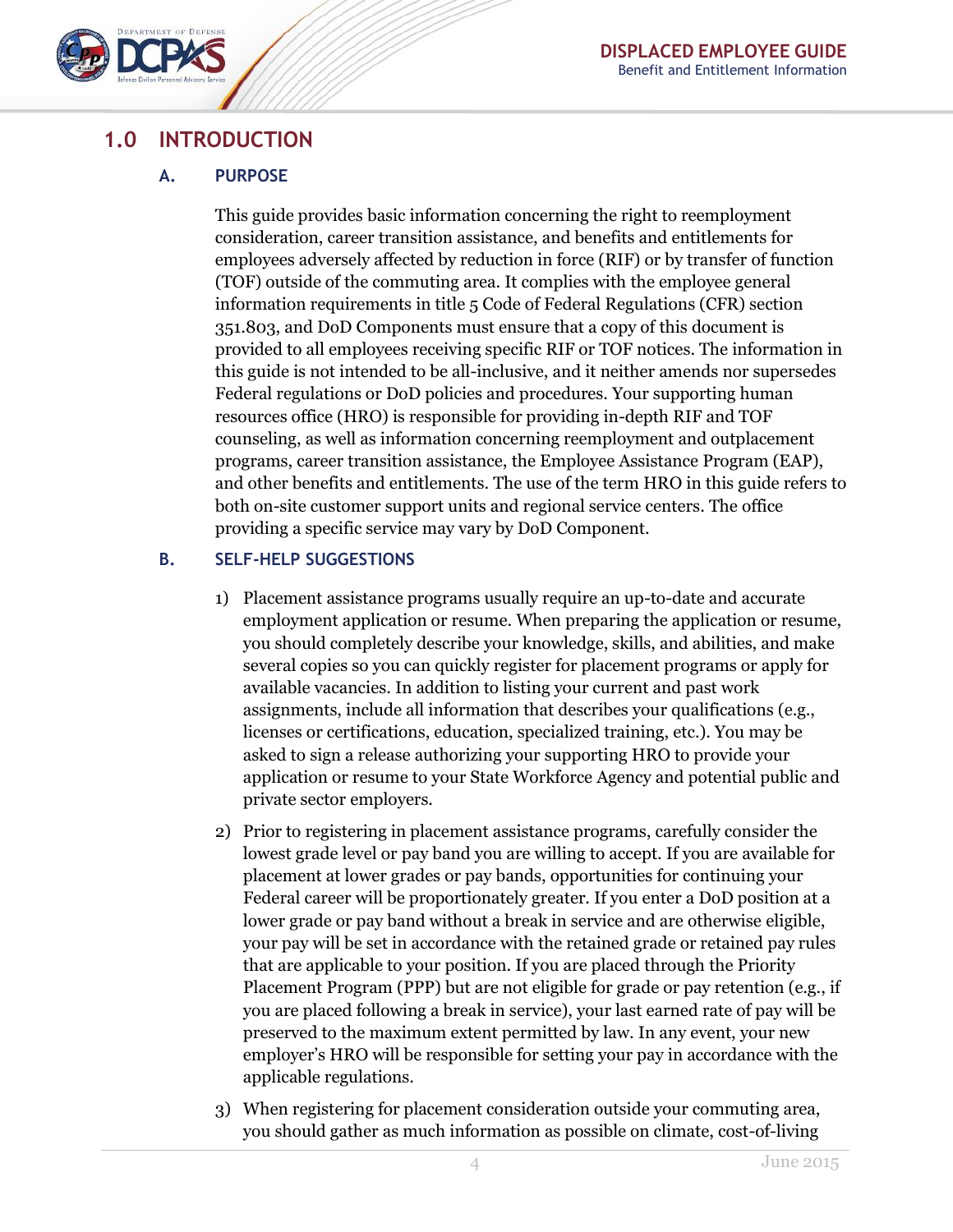

## <span id="page-3-1"></span><span id="page-3-0"></span>**1.0 INTRODUCTION**

#### **A. PURPOSE**

This guide provides basic information concerning the right to reemployment consideration, career transition assistance, and benefits and entitlements for employees adversely affected by reduction in force (RIF) or by transfer of function (TOF) outside of the commuting area. It complies with the employee general information requirements in title 5 Code of Federal Regulations (CFR) section 351.803, and DoD Components must ensure that a copy of this document is provided to all employees receiving specific RIF or TOF notices. The information in this guide is not intended to be all-inclusive, and it neither amends nor supersedes Federal regulations or DoD policies and procedures. Your supporting human resources office (HRO) is responsible for providing in-depth RIF and TOF counseling, as well as information concerning reemployment and outplacement programs, career transition assistance, the Employee Assistance Program (EAP), and other benefits and entitlements. The use of the term HRO in this guide refers to both on-site customer support units and regional service centers. The office providing a specific service may vary by DoD Component.

#### <span id="page-3-2"></span>**B. SELF-HELP SUGGESTIONS**

- 1) Placement assistance programs usually require an up-to-date and accurate employment application or resume. When preparing the application or resume, you should completely describe your knowledge, skills, and abilities, and make several copies so you can quickly register for placement programs or apply for available vacancies. In addition to listing your current and past work assignments, include all information that describes your qualifications (e.g., licenses or certifications, education, specialized training, etc.). You may be asked to sign a release authorizing your supporting HRO to provide your application or resume to your State Workforce Agency and potential public and private sector employers.
- 2) Prior to registering in placement assistance programs, carefully consider the lowest grade level or pay band you are willing to accept. If you are available for placement at lower grades or pay bands, opportunities for continuing your Federal career will be proportionately greater. If you enter a DoD position at a lower grade or pay band without a break in service and are otherwise eligible, your pay will be set in accordance with the retained grade or retained pay rules that are applicable to your position. If you are placed through the Priority Placement Program (PPP) but are not eligible for grade or pay retention (e.g., if you are placed following a break in service), your last earned rate of pay will be preserved to the maximum extent permitted by law. In any event, your new employer's HRO will be responsible for setting your pay in accordance with the applicable regulations.
- 3) When registering for placement consideration outside your commuting area, you should gather as much information as possible on climate, cost-of-living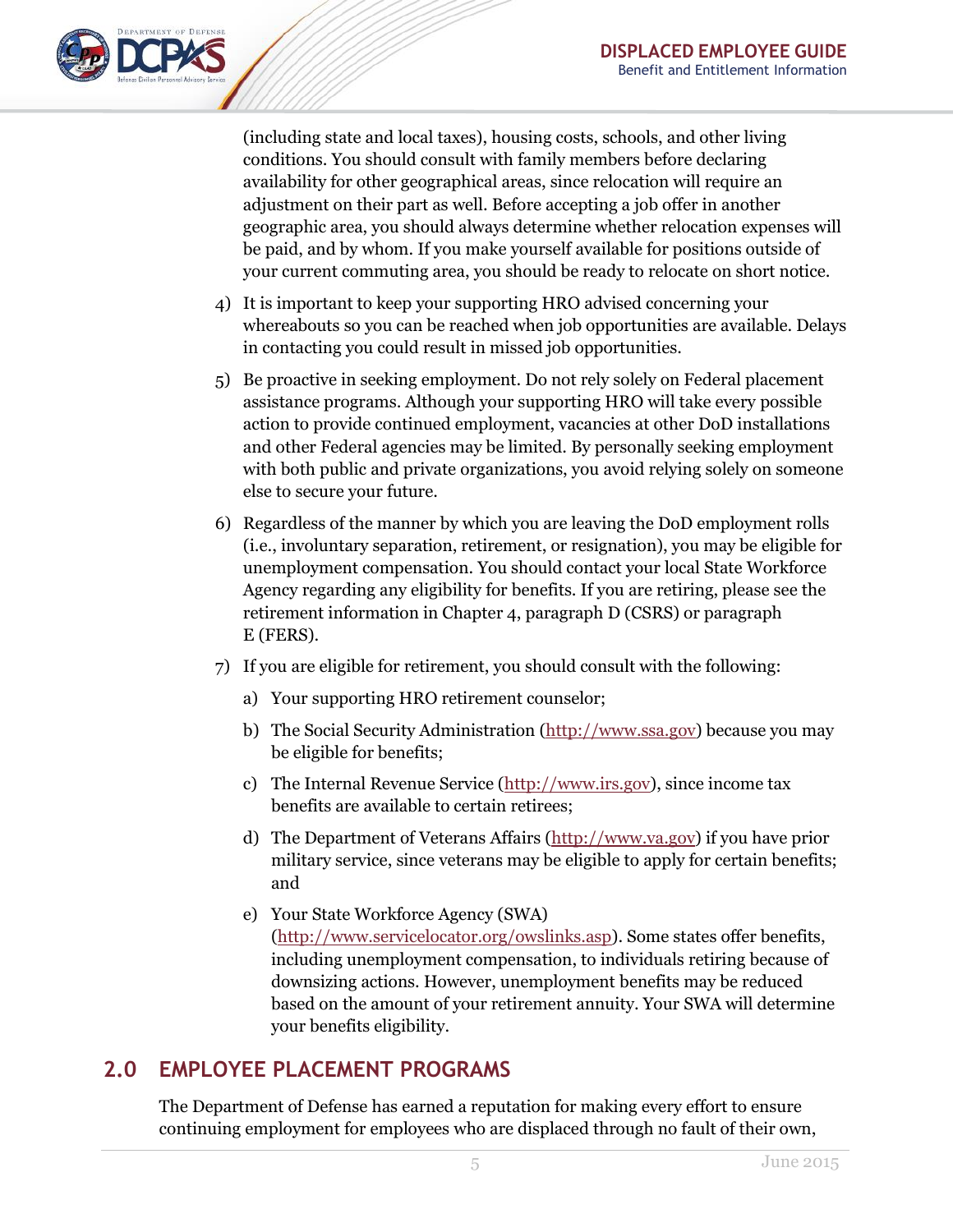

(including state and local taxes), housing costs, schools, and other living conditions. You should consult with family members before declaring availability for other geographical areas, since relocation will require an adjustment on their part as well. Before accepting a job offer in another geographic area, you should always determine whether relocation expenses will be paid, and by whom. If you make yourself available for positions outside of your current commuting area, you should be ready to relocate on short notice.

- 4) It is important to keep your supporting HRO advised concerning your whereabouts so you can be reached when job opportunities are available. Delays in contacting you could result in missed job opportunities.
- 5) Be proactive in seeking employment. Do not rely solely on Federal placement assistance programs. Although your supporting HRO will take every possible action to provide continued employment, vacancies at other DoD installations and other Federal agencies may be limited. By personally seeking employment with both public and private organizations, you avoid relying solely on someone else to secure your future.
- 6) Regardless of the manner by which you are leaving the DoD employment rolls (i.e., involuntary separation, retirement, or resignation), you may be eligible for unemployment compensation. You should contact your local State Workforce Agency regarding any eligibility for benefits. If you are retiring, please see the retirement information in Chapter 4, paragraph D (CSRS) or paragraph E (FERS).
- 7) If you are eligible for retirement, you should consult with the following:
	- a) Your supporting HRO retirement counselor;
	- b) The Social Security Administration [\(http://www.ssa.gov\)](http://www.ssa.gov/) because you may be eligible for benefits;
	- c) The Internal Revenue Service [\(http://www.irs.gov\)](http://www.irs.gov/), since income tax benefits are available to certain retirees;
	- d) The Department of Veterans Affairs [\(http://www.va.gov\)](http://www.va.gov/) if you have prior military service, since veterans may be eligible to apply for certain benefits; and
	- e) Your State Workforce Agency (SWA) [\(http://www.servicelocator.org/owslinks.asp\)](http://www.servicelocator.org/owslinks.asp). Some states offer benefits, including unemployment compensation, to individuals retiring because of downsizing actions. However, unemployment benefits may be reduced based on the amount of your retirement annuity. Your SWA will determine your benefits eligibility.

## <span id="page-4-0"></span>**2.0 EMPLOYEE PLACEMENT PROGRAMS**

The Department of Defense has earned a reputation for making every effort to ensure continuing employment for employees who are displaced through no fault of their own,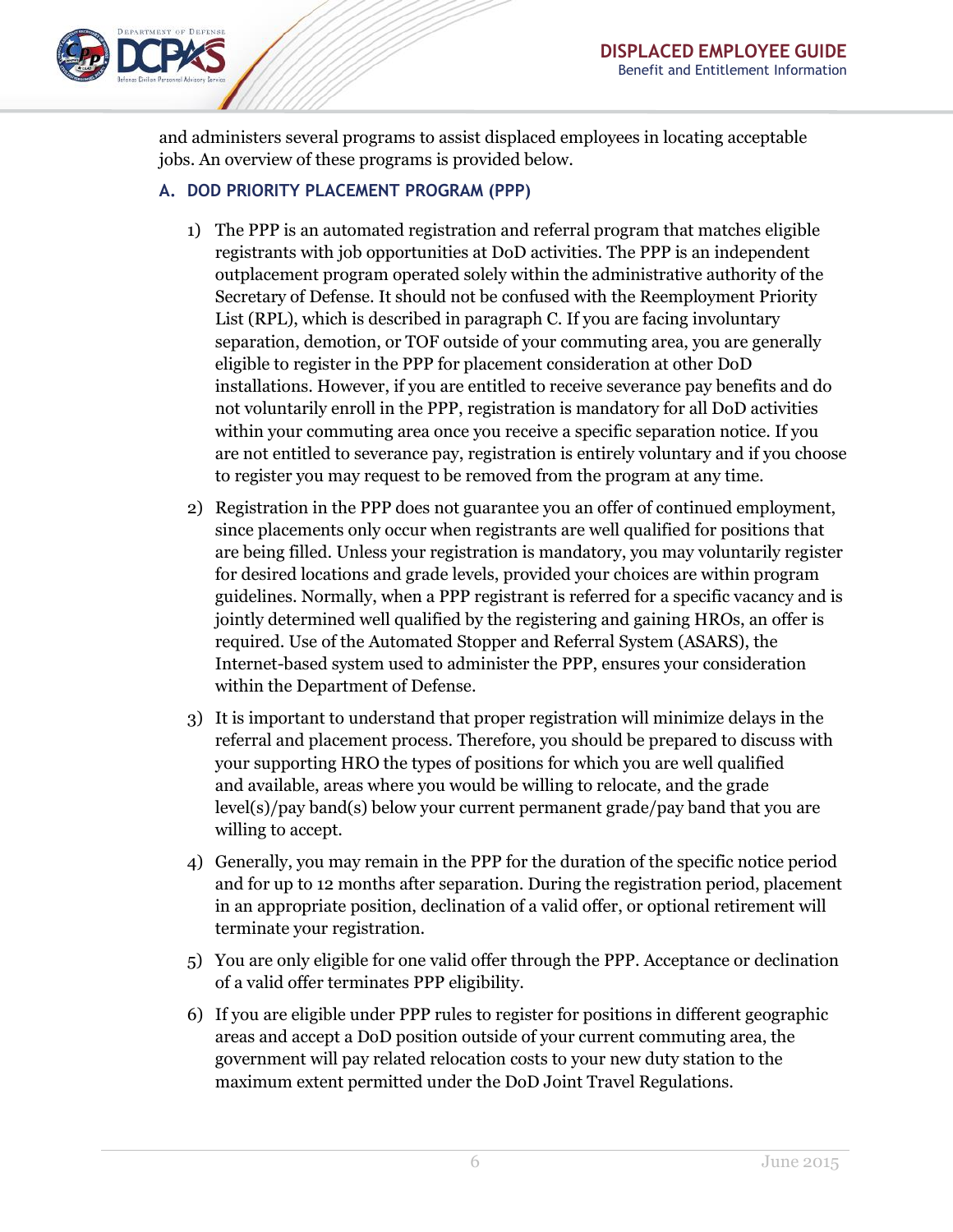

and administers several programs to assist displaced employees in locating acceptable jobs. An overview of these programs is provided below.

#### <span id="page-5-0"></span>**A. DOD PRIORITY PLACEMENT PROGRAM (PPP)**

- 1) The PPP is an automated registration and referral program that matches eligible registrants with job opportunities at DoD activities. The PPP is an independent outplacement program operated solely within the administrative authority of the Secretary of Defense. It should not be confused with the Reemployment Priority List (RPL), which is described in paragraph C. If you are facing involuntary separation, demotion, or TOF outside of your commuting area, you are generally eligible to register in the PPP for placement consideration at other DoD installations. However, if you are entitled to receive severance pay benefits and do not voluntarily enroll in the PPP, registration is mandatory for all DoD activities within your commuting area once you receive a specific separation notice. If you are not entitled to severance pay, registration is entirely voluntary and if you choose to register you may request to be removed from the program at any time.
- 2) Registration in the PPP does not guarantee you an offer of continued employment, since placements only occur when registrants are well qualified for positions that are being filled. Unless your registration is mandatory, you may voluntarily register for desired locations and grade levels, provided your choices are within program guidelines. Normally, when a PPP registrant is referred for a specific vacancy and is jointly determined well qualified by the registering and gaining HROs, an offer is required. Use of the Automated Stopper and Referral System (ASARS), the Internet-based system used to administer the PPP, ensures your consideration within the Department of Defense.
- 3) It is important to understand that proper registration will minimize delays in the referral and placement process. Therefore, you should be prepared to discuss with your supporting HRO the types of positions for which you are well qualified and available, areas where you would be willing to relocate, and the grade level(s)/pay band(s) below your current permanent grade/pay band that you are willing to accept.
- 4) Generally, you may remain in the PPP for the duration of the specific notice period and for up to 12 months after separation. During the registration period, placement in an appropriate position, declination of a valid offer, or optional retirement will terminate your registration.
- 5) You are only eligible for one valid offer through the PPP. Acceptance or declination of a valid offer terminates PPP eligibility.
- 6) If you are eligible under PPP rules to register for positions in different geographic areas and accept a DoD position outside of your current commuting area, the government will pay related relocation costs to your new duty station to the maximum extent permitted under the DoD Joint Travel Regulations.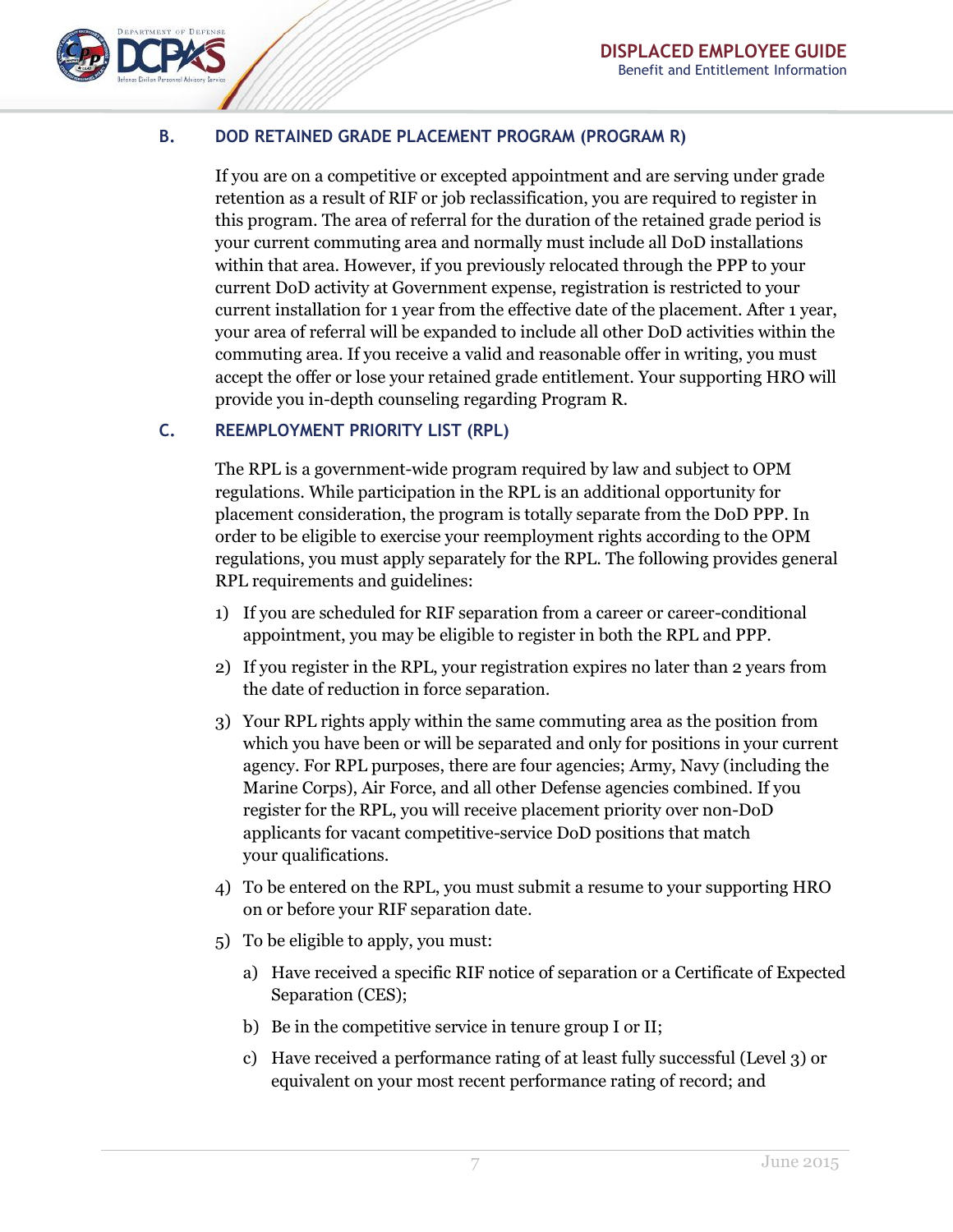

#### <span id="page-6-0"></span>**B. DOD RETAINED GRADE PLACEMENT PROGRAM (PROGRAM R)**

If you are on a competitive or excepted appointment and are serving under grade retention as a result of RIF or job reclassification, you are required to register in this program. The area of referral for the duration of the retained grade period is your current commuting area and normally must include all DoD installations within that area. However, if you previously relocated through the PPP to your current DoD activity at Government expense, registration is restricted to your current installation for 1 year from the effective date of the placement. After 1 year, your area of referral will be expanded to include all other DoD activities within the commuting area. If you receive a valid and reasonable offer in writing, you must accept the offer or lose your retained grade entitlement. Your supporting HRO will provide you in-depth counseling regarding Program R.

#### <span id="page-6-1"></span>**C. REEMPLOYMENT PRIORITY LIST (RPL)**

The RPL is a government-wide program required by law and subject to OPM regulations. While participation in the RPL is an additional opportunity for placement consideration, the program is totally separate from the DoD PPP. In order to be eligible to exercise your reemployment rights according to the OPM regulations, you must apply separately for the RPL. The following provides general RPL requirements and guidelines:

- 1) If you are scheduled for RIF separation from a career or career-conditional appointment, you may be eligible to register in both the RPL and PPP.
- 2) If you register in the RPL, your registration expires no later than 2 years from the date of reduction in force separation.
- 3) Your RPL rights apply within the same commuting area as the position from which you have been or will be separated and only for positions in your current agency. For RPL purposes, there are four agencies; Army, Navy (including the Marine Corps), Air Force, and all other Defense agencies combined. If you register for the RPL, you will receive placement priority over non-DoD applicants for vacant competitive-service DoD positions that match your qualifications.
- 4) To be entered on the RPL, you must submit a resume to your supporting HRO on or before your RIF separation date.
- 5) To be eligible to apply, you must:
	- a) Have received a specific RIF notice of separation or a Certificate of Expected Separation (CES);
	- b) Be in the competitive service in tenure group I or II;
	- c) Have received a performance rating of at least fully successful (Level 3) or equivalent on your most recent performance rating of record; and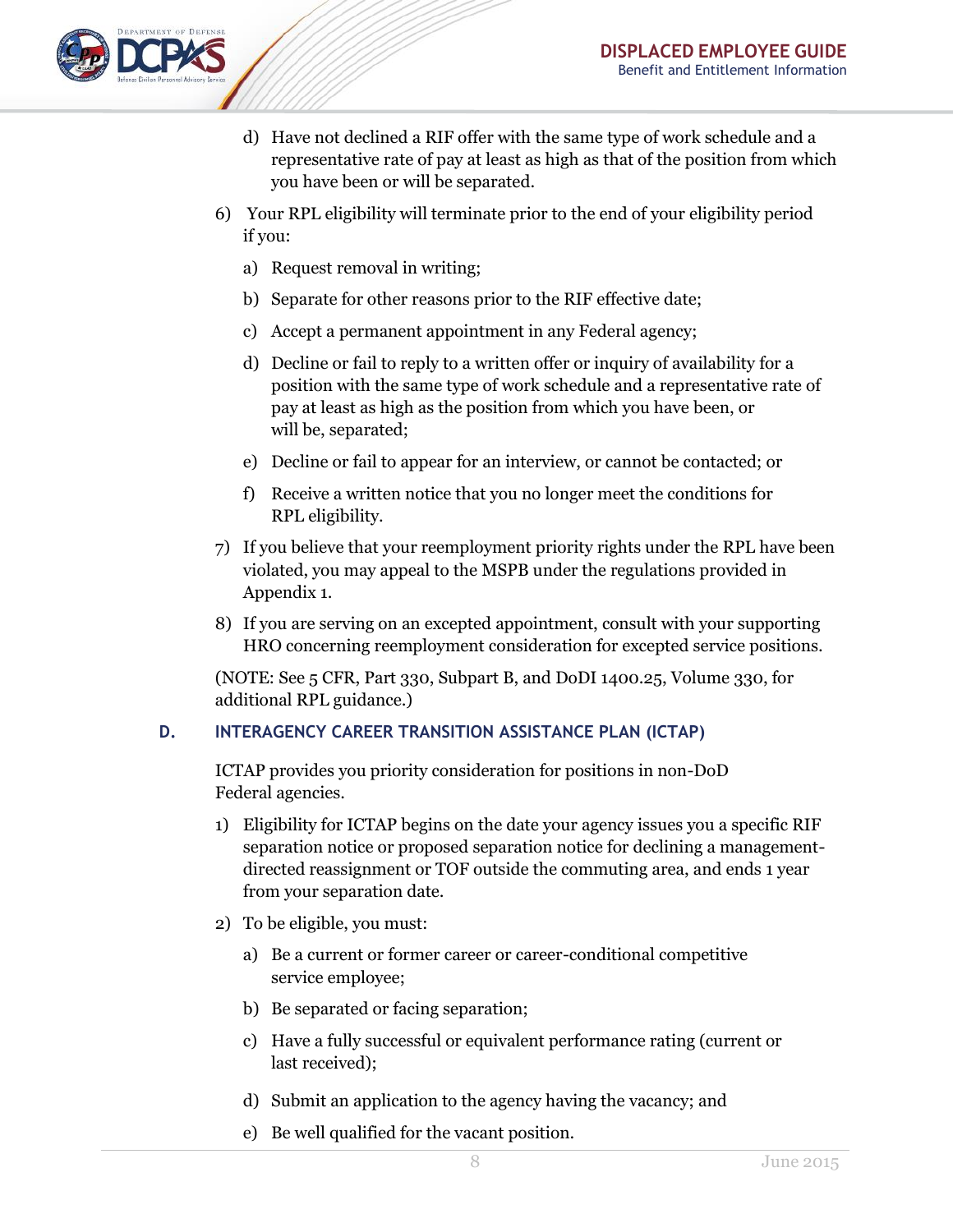

- d) Have not declined a RIF offer with the same type of work schedule and a representative rate of pay at least as high as that of the position from which you have been or will be separated.
- 6) Your RPL eligibility will terminate prior to the end of your eligibility period if you:
	- a) Request removal in writing;
	- b) Separate for other reasons prior to the RIF effective date;
	- c) Accept a permanent appointment in any Federal agency;
	- d) Decline or fail to reply to a written offer or inquiry of availability for a position with the same type of work schedule and a representative rate of pay at least as high as the position from which you have been, or will be, separated;
	- e) Decline or fail to appear for an interview, or cannot be contacted; or
	- f) Receive a written notice that you no longer meet the conditions for RPL eligibility.
- 7) If you believe that your reemployment priority rights under the RPL have been violated, you may appeal to the MSPB under the regulations provided in Appendix 1.
- 8) If you are serving on an excepted appointment, consult with your supporting HRO concerning reemployment consideration for excepted service positions.

(NOTE: See 5 CFR, Part 330, Subpart B, and DoDI 1400.25, Volume 330, for additional RPL guidance.)

#### <span id="page-7-0"></span>**D. INTERAGENCY CAREER TRANSITION ASSISTANCE PLAN (ICTAP)**

ICTAP provides you priority consideration for positions in non-DoD Federal agencies.

- 1) Eligibility for ICTAP begins on the date your agency issues you a specific RIF separation notice or proposed separation notice for declining a managementdirected reassignment or TOF outside the commuting area, and ends 1 year from your separation date.
- 2) To be eligible, you must:
	- a) Be a current or former career or career-conditional competitive service employee;
	- b) Be separated or facing separation;
	- c) Have a fully successful or equivalent performance rating (current or last received);
	- d) Submit an application to the agency having the vacancy; and
	- e) Be well qualified for the vacant position.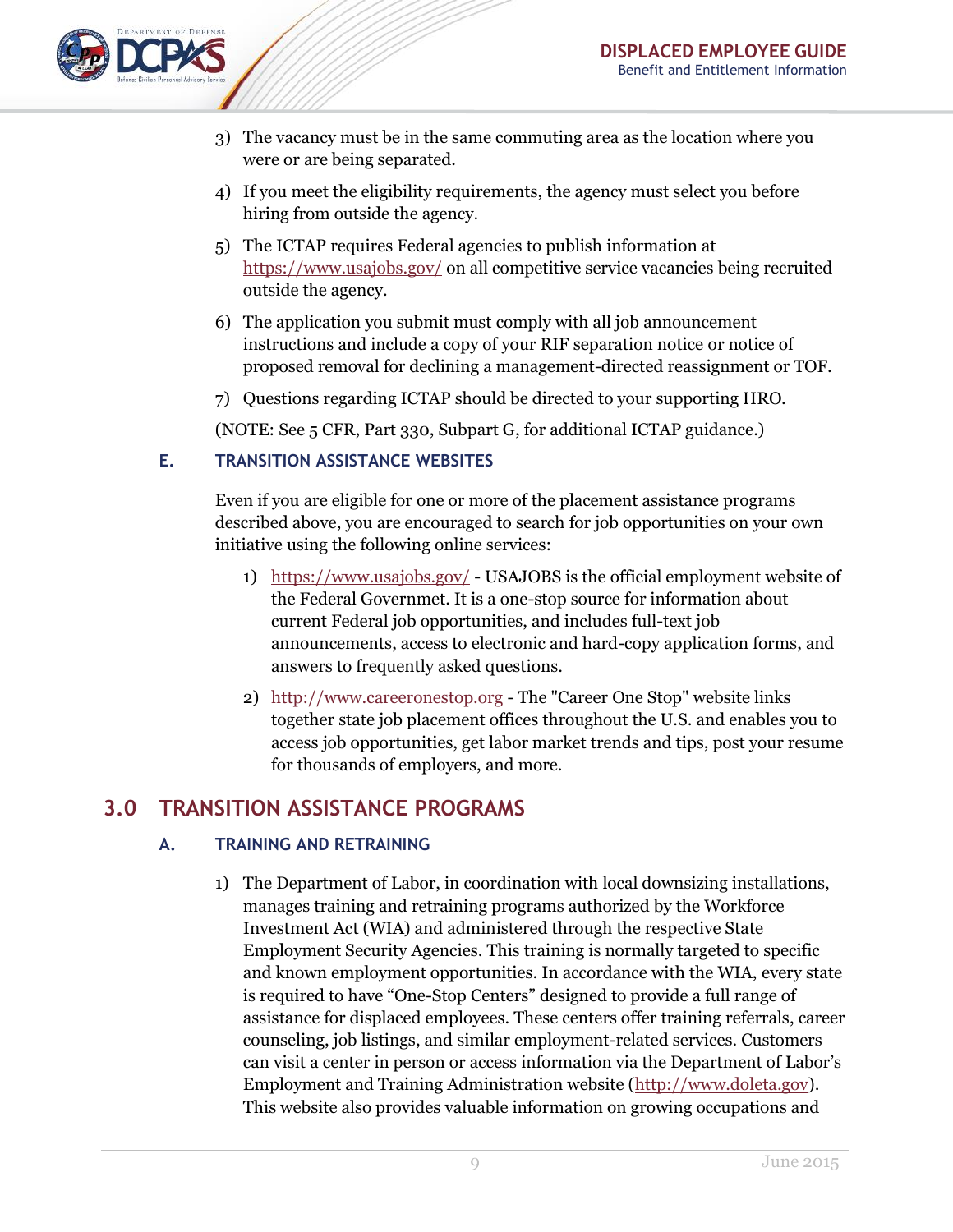

- 3) The vacancy must be in the same commuting area as the location where you were or are being separated.
- 4) If you meet the eligibility requirements, the agency must select you before hiring from outside the agency.
- 5) The ICTAP requires Federal agencies to publish information at <https://www.usajobs.gov/> on all competitive service vacancies being recruited outside the agency.
- 6) The application you submit must comply with all job announcement instructions and include a copy of your RIF separation notice or notice of proposed removal for declining a management-directed reassignment or TOF.
- 7) Questions regarding ICTAP should be directed to your supporting HRO.

(NOTE: See 5 CFR, Part 330, Subpart G, for additional ICTAP guidance.)

#### <span id="page-8-0"></span>**E. TRANSITION ASSISTANCE WEBSITES**

Even if you are eligible for one or more of the placement assistance programs described above, you are encouraged to search for job opportunities on your own initiative using the following online services:

- 1) <https://www.usajobs.gov/> USAJOBS is the official employment website of the Federal Governmet. It is a one-stop source for information about current Federal job opportunities, and includes full-text job announcements, access to electronic and hard-copy application forms, and answers to frequently asked questions.
- 2) [http://www.careeronestop.org](http://www.careeronestop.org/) The "Career One Stop" website links together state job placement offices throughout the U.S. and enables you to access job opportunities, get labor market trends and tips, post your resume for thousands of employers, and more.

## <span id="page-8-2"></span><span id="page-8-1"></span>**3.0 TRANSITION ASSISTANCE PROGRAMS**

#### **A. TRAINING AND RETRAINING**

1) The Department of Labor, in coordination with local downsizing installations, manages training and retraining programs authorized by the Workforce Investment Act (WIA) and administered through the respective State Employment Security Agencies. This training is normally targeted to specific and known employment opportunities. In accordance with the WIA, every state is required to have "One-Stop Centers" designed to provide a full range of assistance for displaced employees. These centers offer training referrals, career counseling, job listings, and similar employment-related services. Customers can visit a center in person or access information via the Department of Labor's Employment and Training Administration website [\(http://www.doleta.gov\)](http://www.doleta.gov/). This website also provides valuable information on growing occupations and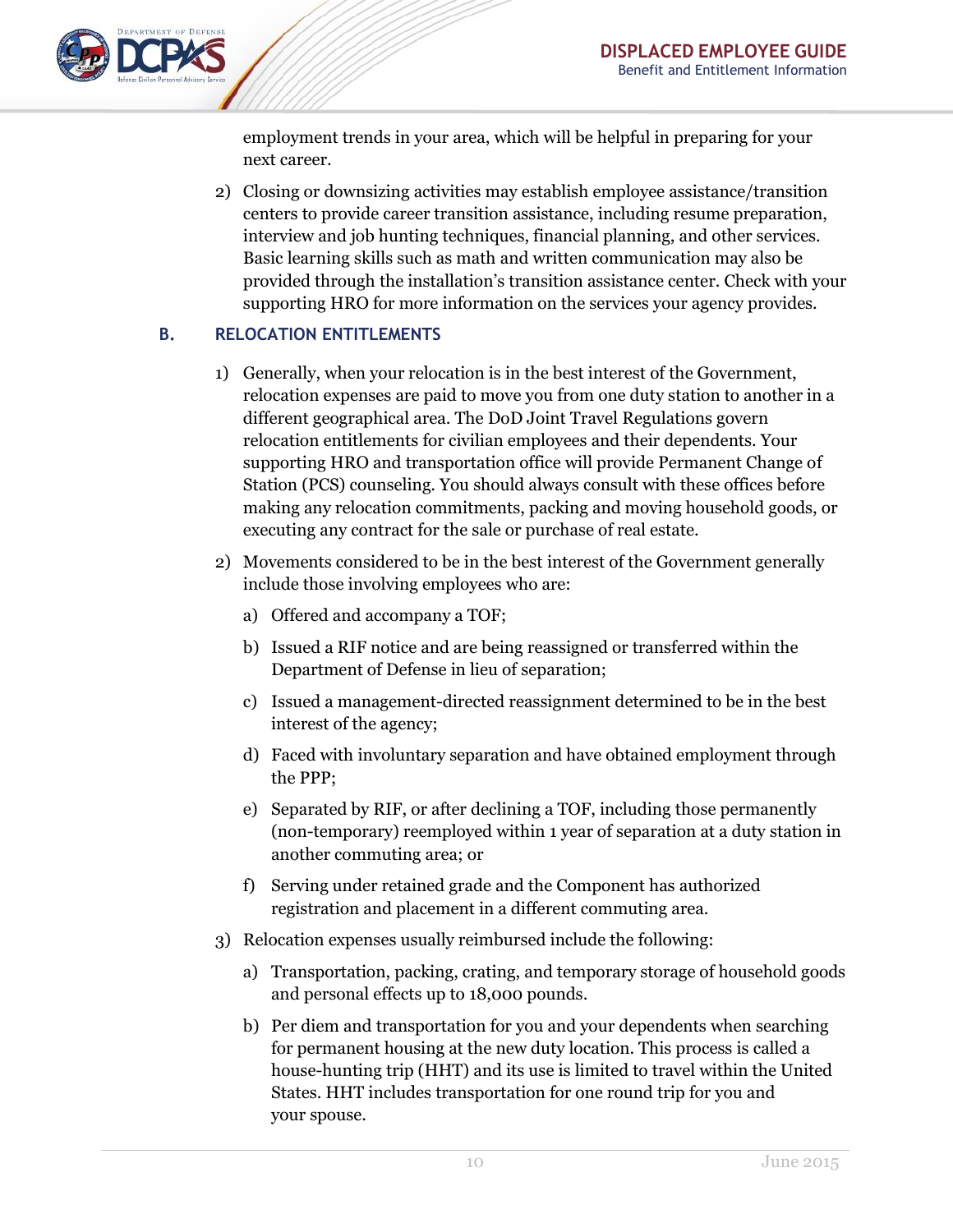

employment trends in your area, which will be helpful in preparing for your next career.

2) Closing or downsizing activities may establish employee assistance/transition centers to provide career transition assistance, including resume preparation, interview and job hunting techniques, financial planning, and other services. Basic learning skills such as math and written communication may also be provided through the installation's transition assistance center. Check with your supporting HRO for more information on the services your agency provides.

#### <span id="page-9-0"></span>**B. RELOCATION ENTITLEMENTS**

- 1) Generally, when your relocation is in the best interest of the Government, relocation expenses are paid to move you from one duty station to another in a different geographical area. The DoD Joint Travel Regulations govern relocation entitlements for civilian employees and their dependents. Your supporting HRO and transportation office will provide Permanent Change of Station (PCS) counseling. You should always consult with these offices before making any relocation commitments, packing and moving household goods, or executing any contract for the sale or purchase of real estate.
- 2) Movements considered to be in the best interest of the Government generally include those involving employees who are:
	- a) Offered and accompany a TOF;
	- b) Issued a RIF notice and are being reassigned or transferred within the Department of Defense in lieu of separation;
	- c) Issued a management-directed reassignment determined to be in the best interest of the agency;
	- d) Faced with involuntary separation and have obtained employment through the PPP;
	- e) Separated by RIF, or after declining a TOF, including those permanently (non-temporary) reemployed within 1 year of separation at a duty station in another commuting area; or
	- f) Serving under retained grade and the Component has authorized registration and placement in a different commuting area.
- 3) Relocation expenses usually reimbursed include the following:
	- a) Transportation, packing, crating, and temporary storage of household goods and personal effects up to 18,000 pounds.
	- b) Per diem and transportation for you and your dependents when searching for permanent housing at the new duty location. This process is called a house-hunting trip (HHT) and its use is limited to travel within the United States. HHT includes transportation for one round trip for you and your spouse.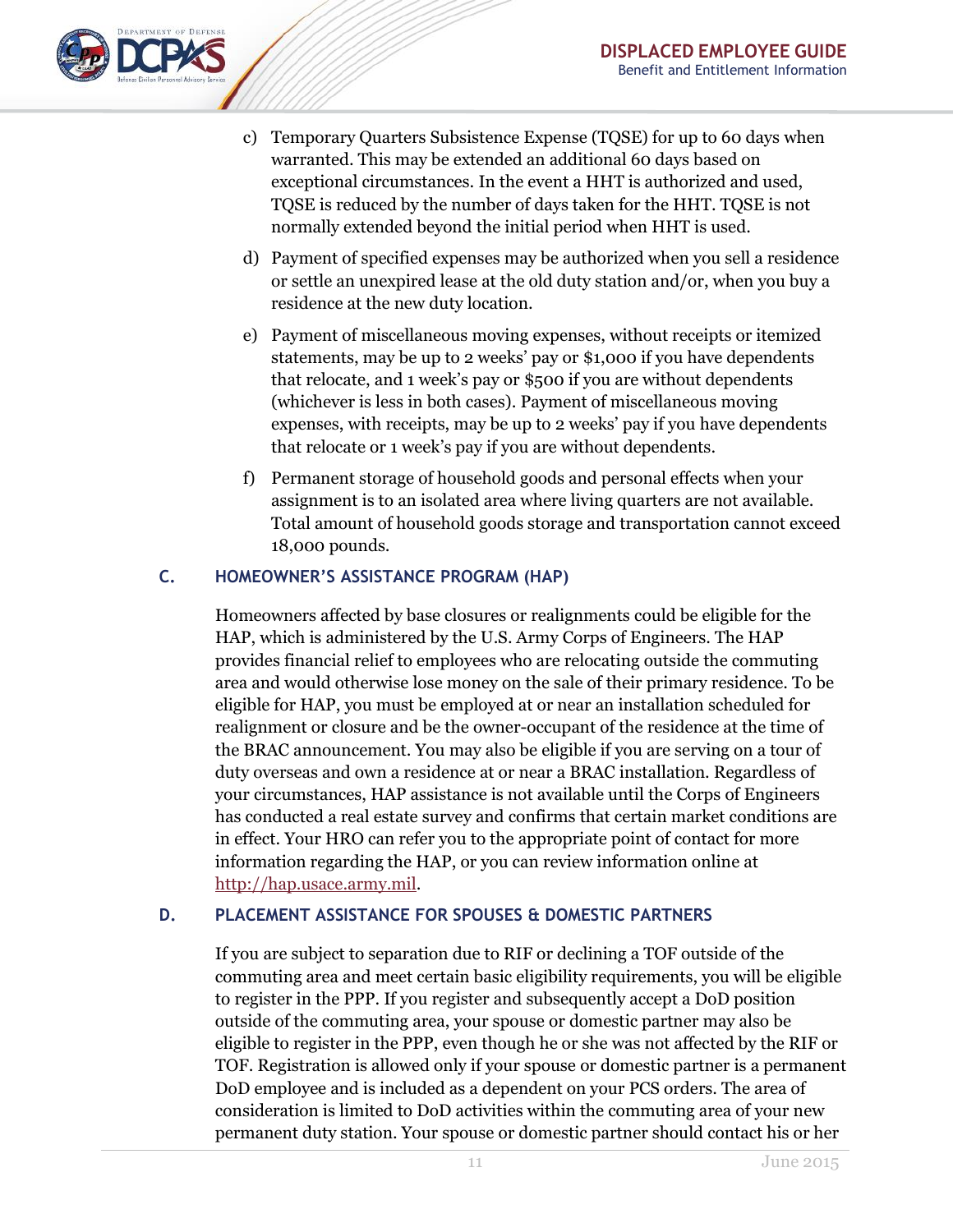

- c) Temporary Quarters Subsistence Expense (TQSE) for up to 60 days when warranted. This may be extended an additional 60 days based on exceptional circumstances. In the event a HHT is authorized and used, TQSE is reduced by the number of days taken for the HHT. TQSE is not normally extended beyond the initial period when HHT is used.
- d) Payment of specified expenses may be authorized when you sell a residence or settle an unexpired lease at the old duty station and/or, when you buy a residence at the new duty location.
- e) Payment of miscellaneous moving expenses, without receipts or itemized statements, may be up to 2 weeks' pay or \$1,000 if you have dependents that relocate, and 1 week's pay or \$500 if you are without dependents (whichever is less in both cases). Payment of miscellaneous moving expenses, with receipts, may be up to 2 weeks' pay if you have dependents that relocate or 1 week's pay if you are without dependents.
- f) Permanent storage of household goods and personal effects when your assignment is to an isolated area where living quarters are not available. Total amount of household goods storage and transportation cannot exceed 18,000 pounds.

#### <span id="page-10-0"></span>**C. HOMEOWNER'S ASSISTANCE PROGRAM (HAP)**

Homeowners affected by base closures or realignments could be eligible for the HAP, which is administered by the U.S. Army Corps of Engineers. The HAP provides financial relief to employees who are relocating outside the commuting area and would otherwise lose money on the sale of their primary residence. To be eligible for HAP, you must be employed at or near an installation scheduled for realignment or closure and be the owner-occupant of the residence at the time of the BRAC announcement. You may also be eligible if you are serving on a tour of duty overseas and own a residence at or near a BRAC installation. Regardless of your circumstances, HAP assistance is not available until the Corps of Engineers has conducted a real estate survey and confirms that certain market conditions are in effect. Your HRO can refer you to the appropriate point of contact for more information regarding the HAP, or you can review information online at [http://hap.usace.army.mil.](http://hap.usace.army.mil/)

#### <span id="page-10-1"></span>**D. PLACEMENT ASSISTANCE FOR SPOUSES & DOMESTIC PARTNERS**

If you are subject to separation due to RIF or declining a TOF outside of the commuting area and meet certain basic eligibility requirements, you will be eligible to register in the PPP. If you register and subsequently accept a DoD position outside of the commuting area, your spouse or domestic partner may also be eligible to register in the PPP, even though he or she was not affected by the RIF or TOF. Registration is allowed only if your spouse or domestic partner is a permanent DoD employee and is included as a dependent on your PCS orders. The area of consideration is limited to DoD activities within the commuting area of your new permanent duty station. Your spouse or domestic partner should contact his or her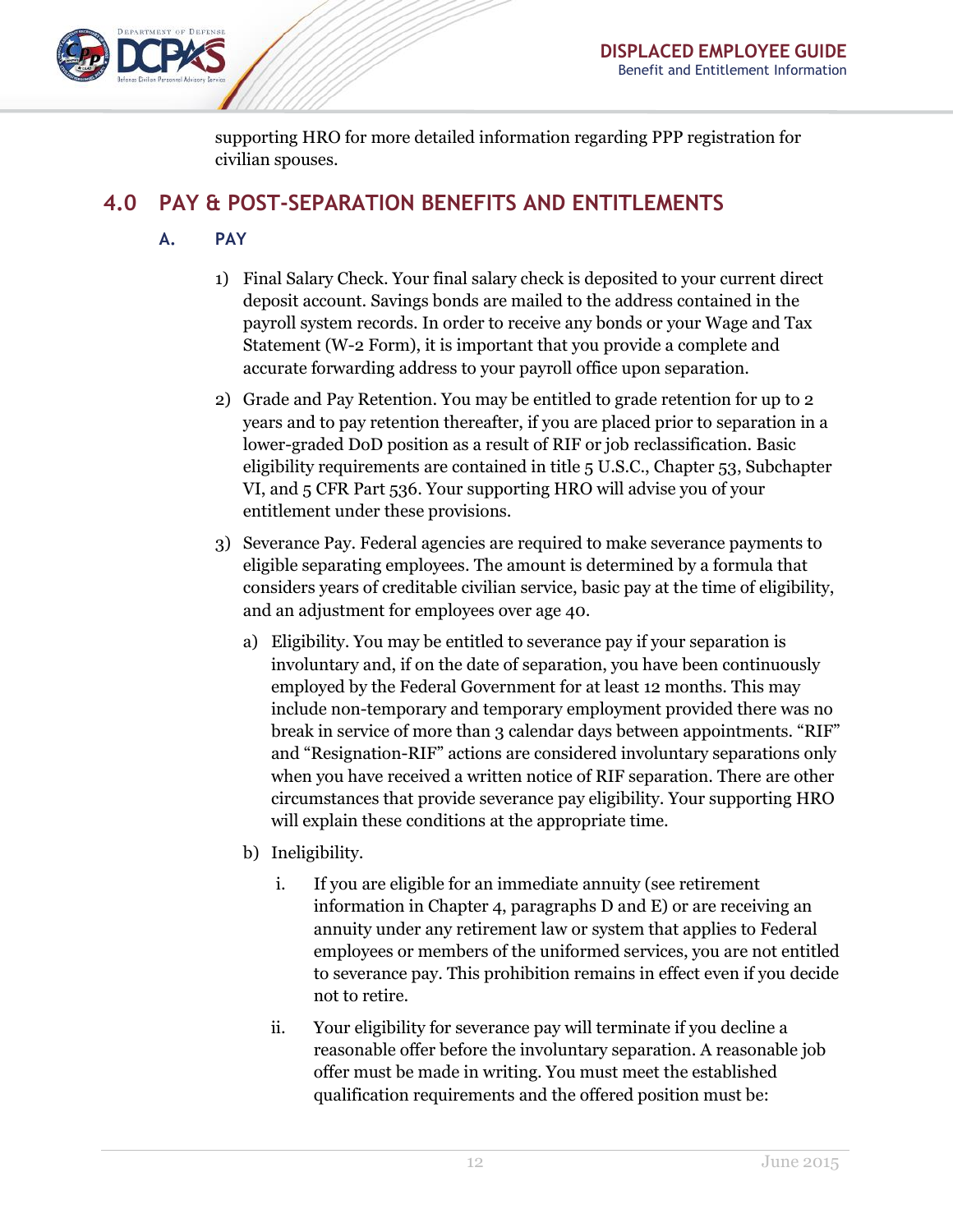

supporting HRO for more detailed information regarding PPP registration for civilian spouses.

## <span id="page-11-1"></span><span id="page-11-0"></span>**4.0 PAY & POST-SEPARATION BENEFITS AND ENTITLEMENTS**

#### **A. PAY**

- 1) Final Salary Check. Your final salary check is deposited to your current direct deposit account. Savings bonds are mailed to the address contained in the payroll system records. In order to receive any bonds or your Wage and Tax Statement (W-2 Form), it is important that you provide a complete and accurate forwarding address to your payroll office upon separation.
- 2) Grade and Pay Retention. You may be entitled to grade retention for up to 2 years and to pay retention thereafter, if you are placed prior to separation in a lower-graded DoD position as a result of RIF or job reclassification. Basic eligibility requirements are contained in title 5 U.S.C., Chapter 53, Subchapter VI, and 5 CFR Part 536. Your supporting HRO will advise you of your entitlement under these provisions.
- 3) Severance Pay. Federal agencies are required to make severance payments to eligible separating employees. The amount is determined by a formula that considers years of creditable civilian service, basic pay at the time of eligibility, and an adjustment for employees over age 40.
	- a) Eligibility. You may be entitled to severance pay if your separation is involuntary and, if on the date of separation, you have been continuously employed by the Federal Government for at least 12 months. This may include non-temporary and temporary employment provided there was no break in service of more than 3 calendar days between appointments. "RIF" and "Resignation-RIF" actions are considered involuntary separations only when you have received a written notice of RIF separation. There are other circumstances that provide severance pay eligibility. Your supporting HRO will explain these conditions at the appropriate time.
	- b) Ineligibility.
		- i. If you are eligible for an immediate annuity (see retirement information in Chapter 4, paragraphs D and E) or are receiving an annuity under any retirement law or system that applies to Federal employees or members of the uniformed services, you are not entitled to severance pay. This prohibition remains in effect even if you decide not to retire.
		- ii. Your eligibility for severance pay will terminate if you decline a reasonable offer before the involuntary separation. A reasonable job offer must be made in writing. You must meet the established qualification requirements and the offered position must be: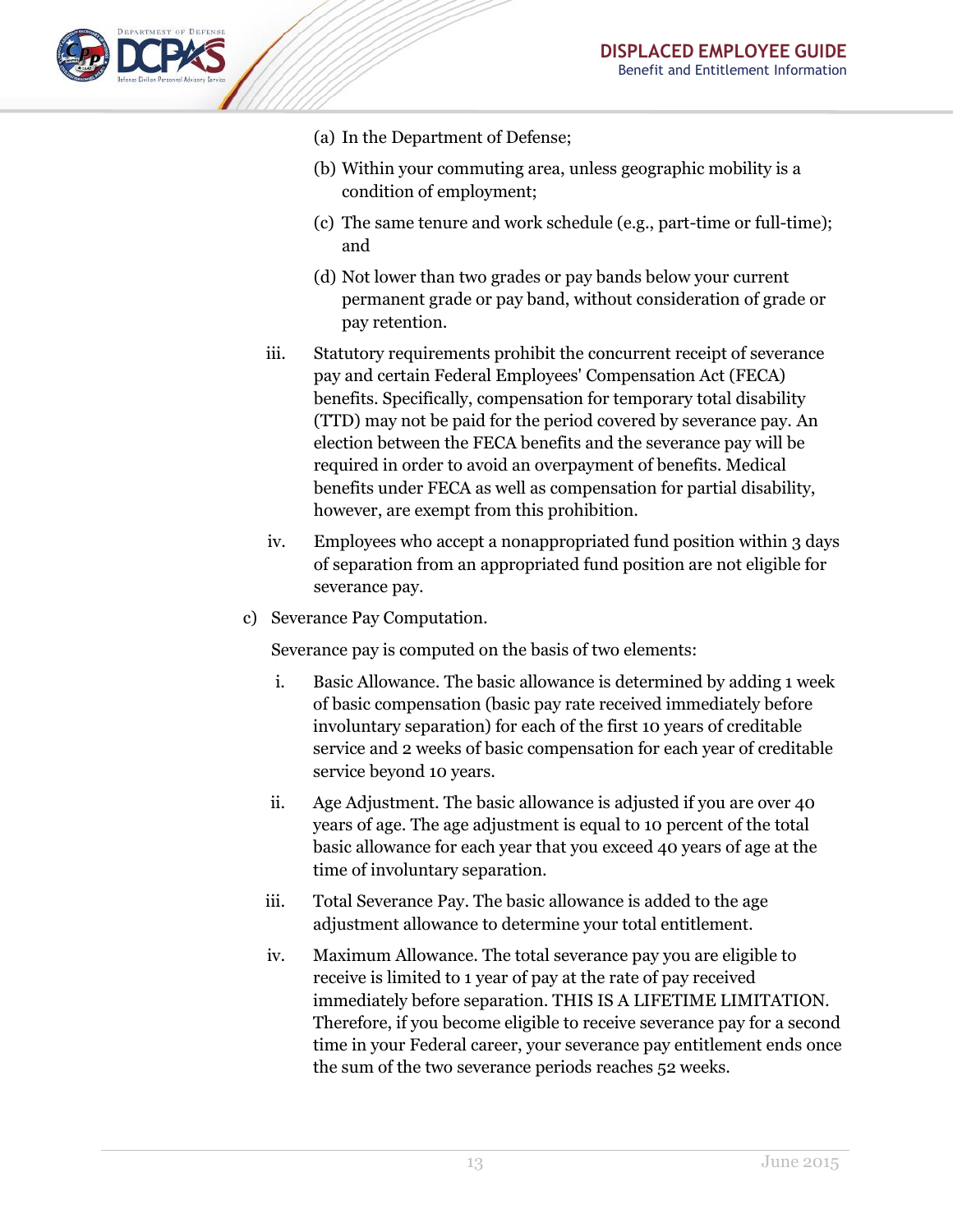

- (a) In the Department of Defense;
- (b) Within your commuting area, unless geographic mobility is a condition of employment;
- (c) The same tenure and work schedule (e.g., part-time or full-time); and
- (d) Not lower than two grades or pay bands below your current permanent grade or pay band, without consideration of grade or pay retention.
- iii. Statutory requirements prohibit the concurrent receipt of severance pay and certain Federal Employees' Compensation Act (FECA) benefits. Specifically, compensation for temporary total disability (TTD) may not be paid for the period covered by severance pay. An election between the FECA benefits and the severance pay will be required in order to avoid an overpayment of benefits. Medical benefits under FECA as well as compensation for partial disability, however, are exempt from this prohibition.
- iv. Employees who accept a nonappropriated fund position within 3 days of separation from an appropriated fund position are not eligible for severance pay.
- c) Severance Pay Computation.

Severance pay is computed on the basis of two elements:

- i. Basic Allowance. The basic allowance is determined by adding 1 week of basic compensation (basic pay rate received immediately before involuntary separation) for each of the first 10 years of creditable service and 2 weeks of basic compensation for each year of creditable service beyond 10 years.
- ii. Age Adjustment. The basic allowance is adjusted if you are over 40 years of age. The age adjustment is equal to 10 percent of the total basic allowance for each year that you exceed 40 years of age at the time of involuntary separation.
- iii. Total Severance Pay. The basic allowance is added to the age adjustment allowance to determine your total entitlement.
- iv. Maximum Allowance. The total severance pay you are eligible to receive is limited to 1 year of pay at the rate of pay received immediately before separation. THIS IS A LIFETIME LIMITATION. Therefore, if you become eligible to receive severance pay for a second time in your Federal career, your severance pay entitlement ends once the sum of the two severance periods reaches 52 weeks.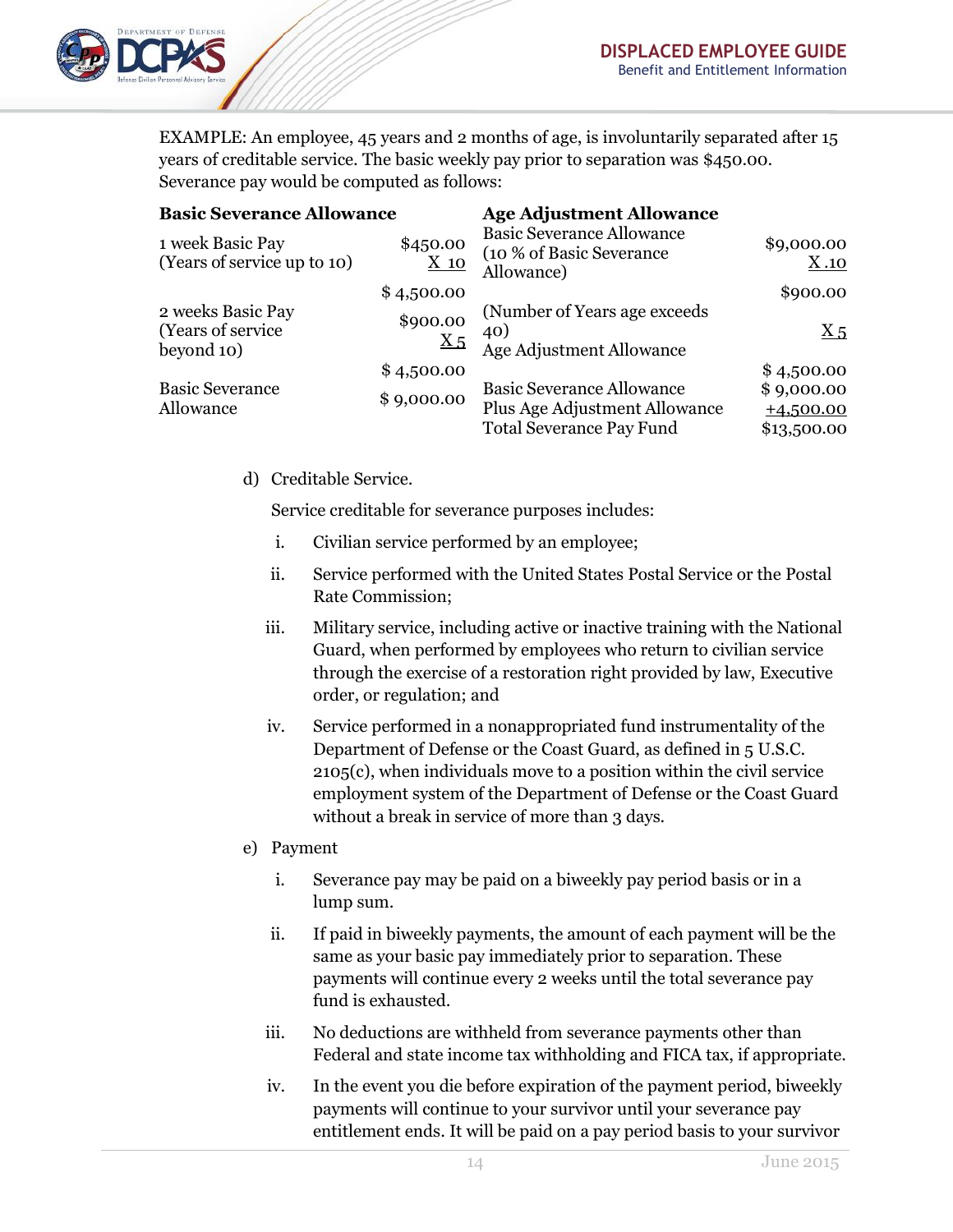

EXAMPLE: An employee, 45 years and 2 months of age, is involuntarily separated after 15 years of creditable service. The basic weekly pay prior to separation was \$450.00. Severance pay would be computed as follows:

| <b>Basic Severance Allowance</b>                      |                    | <b>Age Adjustment Allowance</b>                                                                      |                                          |
|-------------------------------------------------------|--------------------|------------------------------------------------------------------------------------------------------|------------------------------------------|
| 1 week Basic Pay<br>(Years of service up to 10)       | \$450.00<br>$X_10$ | <b>Basic Severance Allowance</b><br>(10 % of Basic Severance<br>Allowance)                           | \$9,000.00<br>X.10                       |
|                                                       | \$4,500.00         |                                                                                                      | \$900.00                                 |
| 2 weeks Basic Pay<br>(Years of service)<br>beyond 10) | \$900.00<br>$X_5$  | (Number of Years age exceeds)<br>40)<br>Age Adjustment Allowance                                     | $X_5$                                    |
|                                                       | \$4,500.00         |                                                                                                      | \$4,500.00                               |
| <b>Basic Severance</b><br>Allowance                   | \$9,000.00         | <b>Basic Severance Allowance</b><br>Plus Age Adjustment Allowance<br><b>Total Severance Pay Fund</b> | \$9,000.00<br>$+4,500.00$<br>\$13,500.00 |

d) Creditable Service.

Service creditable for severance purposes includes:

- i. Civilian service performed by an employee;
- ii. Service performed with the United States Postal Service or the Postal Rate Commission;
- iii. Military service, including active or inactive training with the National Guard, when performed by employees who return to civilian service through the exercise of a restoration right provided by law, Executive order, or regulation; and
- iv. Service performed in a nonappropriated fund instrumentality of the Department of Defense or the Coast Guard, as defined in 5 U.S.C. 2105(c), when individuals move to a position within the civil service employment system of the Department of Defense or the Coast Guard without a break in service of more than 3 days.
- e) Payment
	- i. Severance pay may be paid on a biweekly pay period basis or in a lump sum.
	- ii. If paid in biweekly payments, the amount of each payment will be the same as your basic pay immediately prior to separation. These payments will continue every 2 weeks until the total severance pay fund is exhausted.
	- iii. No deductions are withheld from severance payments other than Federal and state income tax withholding and FICA tax, if appropriate.
	- iv. In the event you die before expiration of the payment period, biweekly payments will continue to your survivor until your severance pay entitlement ends. It will be paid on a pay period basis to your survivor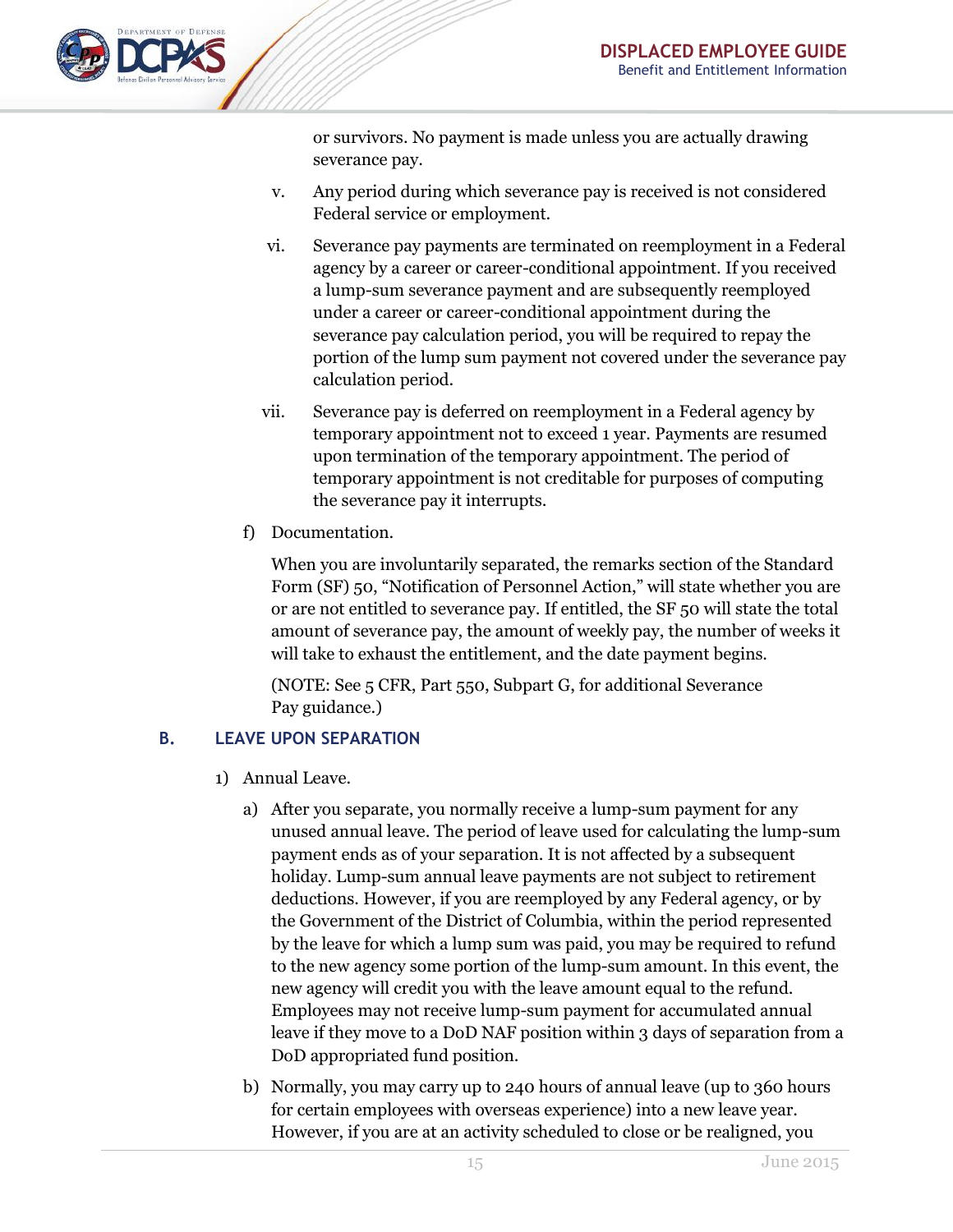

or survivors. No payment is made unless you are actually drawing severance pay.

- v. Any period during which severance pay is received is not considered Federal service or employment.
- vi. Severance pay payments are terminated on reemployment in a Federal agency by a career or career-conditional appointment. If you received a lump-sum severance payment and are subsequently reemployed under a career or career-conditional appointment during the severance pay calculation period, you will be required to repay the portion of the lump sum payment not covered under the severance pay calculation period.
- vii. Severance pay is deferred on reemployment in a Federal agency by temporary appointment not to exceed 1 year. Payments are resumed upon termination of the temporary appointment. The period of temporary appointment is not creditable for purposes of computing the severance pay it interrupts.
- f) Documentation.

When you are involuntarily separated, the remarks section of the Standard Form (SF) 50, "Notification of Personnel Action," will state whether you are or are not entitled to severance pay. If entitled, the SF 50 will state the total amount of severance pay, the amount of weekly pay, the number of weeks it will take to exhaust the entitlement, and the date payment begins.

(NOTE: See 5 CFR, Part 550, Subpart G, for additional Severance Pay guidance.)

#### <span id="page-14-0"></span>**B. LEAVE UPON SEPARATION**

- 1) Annual Leave.
	- a) After you separate, you normally receive a lump-sum payment for any unused annual leave. The period of leave used for calculating the lump-sum payment ends as of your separation. It is not affected by a subsequent holiday. Lump-sum annual leave payments are not subject to retirement deductions. However, if you are reemployed by any Federal agency, or by the Government of the District of Columbia, within the period represented by the leave for which a lump sum was paid, you may be required to refund to the new agency some portion of the lump-sum amount. In this event, the new agency will credit you with the leave amount equal to the refund. Employees may not receive lump-sum payment for accumulated annual leave if they move to a DoD NAF position within 3 days of separation from a DoD appropriated fund position.
	- b) Normally, you may carry up to 240 hours of annual leave (up to 360 hours for certain employees with overseas experience) into a new leave year. However, if you are at an activity scheduled to close or be realigned, you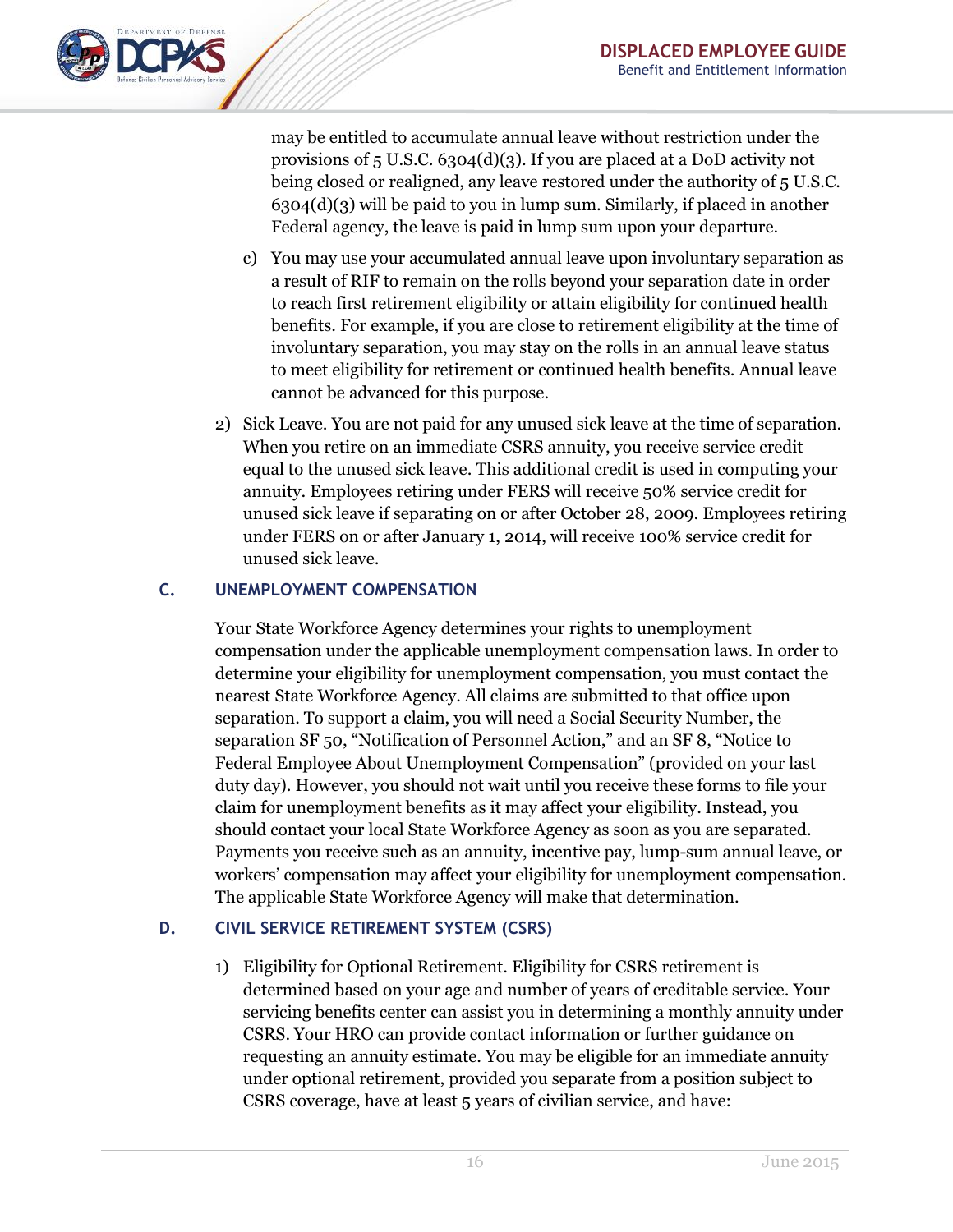

may be entitled to accumulate annual leave without restriction under the provisions of 5 U.S.C. 6304(d)(3). If you are placed at a DoD activity not being closed or realigned, any leave restored under the authority of 5 U.S.C. 6304(d)(3) will be paid to you in lump sum. Similarly, if placed in another Federal agency, the leave is paid in lump sum upon your departure.

- c) You may use your accumulated annual leave upon involuntary separation as a result of RIF to remain on the rolls beyond your separation date in order to reach first retirement eligibility or attain eligibility for continued health benefits. For example, if you are close to retirement eligibility at the time of involuntary separation, you may stay on the rolls in an annual leave status to meet eligibility for retirement or continued health benefits. Annual leave cannot be advanced for this purpose.
- 2) Sick Leave. You are not paid for any unused sick leave at the time of separation. When you retire on an immediate CSRS annuity, you receive service credit equal to the unused sick leave. This additional credit is used in computing your annuity. Employees retiring under FERS will receive 50% service credit for unused sick leave if separating on or after October 28, 2009. Employees retiring under FERS on or after January 1, 2014, will receive 100% service credit for unused sick leave.

#### <span id="page-15-0"></span>**C. UNEMPLOYMENT COMPENSATION**

Your State Workforce Agency determines your rights to unemployment compensation under the applicable unemployment compensation laws. In order to determine your eligibility for unemployment compensation, you must contact the nearest State Workforce Agency. All claims are submitted to that office upon separation. To support a claim, you will need a Social Security Number, the separation SF 50, "Notification of Personnel Action," and an SF 8, "Notice to Federal Employee About Unemployment Compensation" (provided on your last duty day). However, you should not wait until you receive these forms to file your claim for unemployment benefits as it may affect your eligibility. Instead, you should contact your local State Workforce Agency as soon as you are separated. Payments you receive such as an annuity, incentive pay, lump-sum annual leave, or workers' compensation may affect your eligibility for unemployment compensation. The applicable State Workforce Agency will make that determination.

#### <span id="page-15-1"></span>**D. CIVIL SERVICE RETIREMENT SYSTEM (CSRS)**

1) Eligibility for Optional Retirement. Eligibility for CSRS retirement is determined based on your age and number of years of creditable service. Your servicing benefits center can assist you in determining a monthly annuity under CSRS. Your HRO can provide contact information or further guidance on requesting an annuity estimate. You may be eligible for an immediate annuity under optional retirement, provided you separate from a position subject to CSRS coverage, have at least 5 years of civilian service, and have: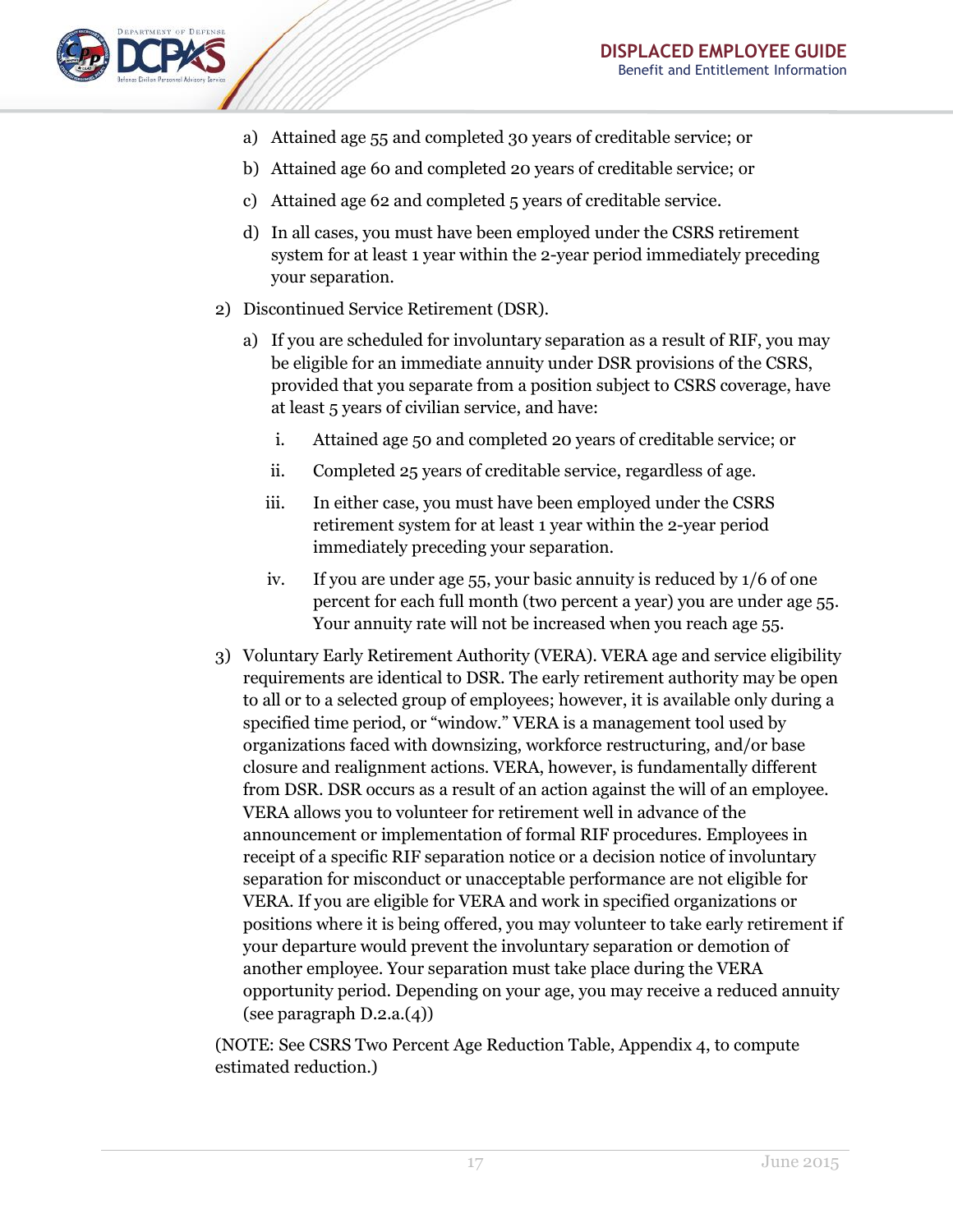

- a) Attained age 55 and completed 30 years of creditable service; or
- b) Attained age 60 and completed 20 years of creditable service; or
- c) Attained age 62 and completed 5 years of creditable service.
- d) In all cases, you must have been employed under the CSRS retirement system for at least 1 year within the 2-year period immediately preceding your separation.
- 2) Discontinued Service Retirement (DSR).
	- a) If you are scheduled for involuntary separation as a result of RIF, you may be eligible for an immediate annuity under DSR provisions of the CSRS, provided that you separate from a position subject to CSRS coverage, have at least 5 years of civilian service, and have:
		- i. Attained age 50 and completed 20 years of creditable service; or
		- ii. Completed 25 years of creditable service, regardless of age.
		- iii. In either case, you must have been employed under the CSRS retirement system for at least 1 year within the 2-year period immediately preceding your separation.
		- iv. If you are under age 55, your basic annuity is reduced by 1/6 of one percent for each full month (two percent a year) you are under age 55. Your annuity rate will not be increased when you reach age 55.
- 3) Voluntary Early Retirement Authority (VERA). VERA age and service eligibility requirements are identical to DSR. The early retirement authority may be open to all or to a selected group of employees; however, it is available only during a specified time period, or "window." VERA is a management tool used by organizations faced with downsizing, workforce restructuring, and/or base closure and realignment actions. VERA, however, is fundamentally different from DSR. DSR occurs as a result of an action against the will of an employee. VERA allows you to volunteer for retirement well in advance of the announcement or implementation of formal RIF procedures. Employees in receipt of a specific RIF separation notice or a decision notice of involuntary separation for misconduct or unacceptable performance are not eligible for VERA. If you are eligible for VERA and work in specified organizations or positions where it is being offered, you may volunteer to take early retirement if your departure would prevent the involuntary separation or demotion of another employee. Your separation must take place during the VERA opportunity period. Depending on your age, you may receive a reduced annuity (see paragraph D.2.a.(4))

(NOTE: See CSRS Two Percent Age Reduction Table, Appendix 4, to compute estimated reduction.)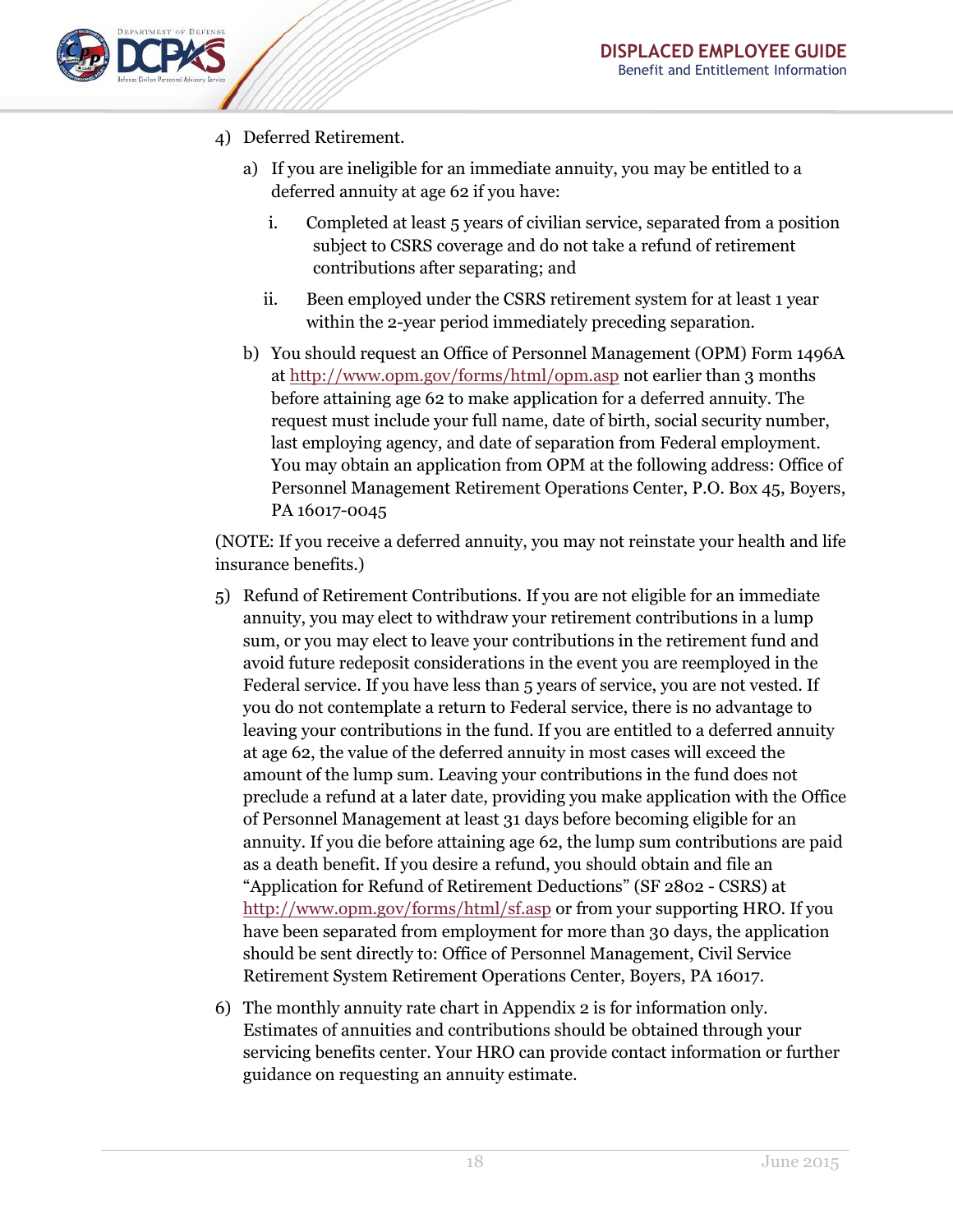

- 4) Deferred Retirement.
	- a) If you are ineligible for an immediate annuity, you may be entitled to a deferred annuity at age 62 if you have:
		- i. Completed at least 5 years of civilian service, separated from a position subject to CSRS coverage and do not take a refund of retirement contributions after separating; and
		- ii. Been employed under the CSRS retirement system for at least 1 year within the 2-year period immediately preceding separation.
	- b) You should request an Office of Personnel Management (OPM) Form 1496A at<http://www.opm.gov/forms/html/opm.asp> not earlier than 3 months before attaining age 62 to make application for a deferred annuity. The request must include your full name, date of birth, social security number, last employing agency, and date of separation from Federal employment. You may obtain an application from OPM at the following address: Office of Personnel Management Retirement Operations Center, P.O. Box 45, Boyers, PA 16017-0045

(NOTE: If you receive a deferred annuity, you may not reinstate your health and life insurance benefits.)

- 5) Refund of Retirement Contributions. If you are not eligible for an immediate annuity, you may elect to withdraw your retirement contributions in a lump sum, or you may elect to leave your contributions in the retirement fund and avoid future redeposit considerations in the event you are reemployed in the Federal service. If you have less than 5 years of service, you are not vested. If you do not contemplate a return to Federal service, there is no advantage to leaving your contributions in the fund. If you are entitled to a deferred annuity at age 62, the value of the deferred annuity in most cases will exceed the amount of the lump sum. Leaving your contributions in the fund does not preclude a refund at a later date, providing you make application with the Office of Personnel Management at least 31 days before becoming eligible for an annuity. If you die before attaining age 62, the lump sum contributions are paid as a death benefit. If you desire a refund, you should obtain and file an "Application for Refund of Retirement Deductions" (SF 2802 - CSRS) at <http://www.opm.gov/forms/html/sf.asp> or from your supporting HRO. If you have been separated from employment for more than 30 days, the application should be sent directly to: Office of Personnel Management, Civil Service Retirement System Retirement Operations Center, Boyers, PA 16017.
- 6) The monthly annuity rate chart in Appendix 2 is for information only. Estimates of annuities and contributions should be obtained through your servicing benefits center. Your HRO can provide contact information or further guidance on requesting an annuity estimate.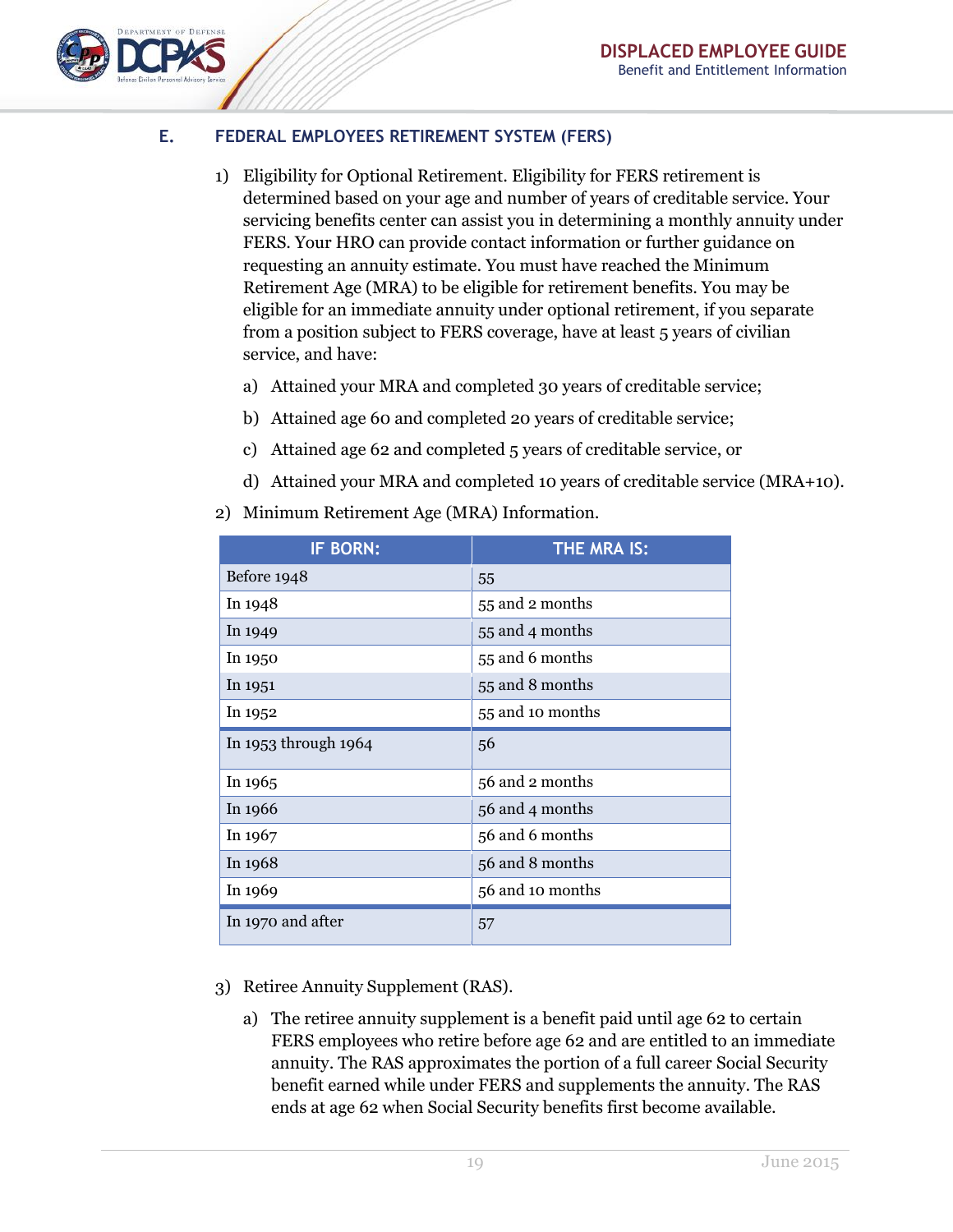

#### <span id="page-18-0"></span>**E. FEDERAL EMPLOYEES RETIREMENT SYSTEM (FERS)**

- 1) Eligibility for Optional Retirement. Eligibility for FERS retirement is determined based on your age and number of years of creditable service. Your servicing benefits center can assist you in determining a monthly annuity under FERS. Your HRO can provide contact information or further guidance on requesting an annuity estimate. You must have reached the Minimum Retirement Age (MRA) to be eligible for retirement benefits. You may be eligible for an immediate annuity under optional retirement, if you separate from a position subject to FERS coverage, have at least 5 years of civilian service, and have:
	- a) Attained your MRA and completed 30 years of creditable service;
	- b) Attained age 60 and completed 20 years of creditable service;
	- c) Attained age 62 and completed 5 years of creditable service, or
	- d) Attained your MRA and completed 10 years of creditable service (MRA+10).
- 2) Minimum Retirement Age (MRA) Information.

| <b>IF BORN:</b>      | <b>THE MRA IS:</b> |
|----------------------|--------------------|
| Before 1948          | 55                 |
| In 1948              | 55 and 2 months    |
| In 1949              | 55 and 4 months    |
| In 1950              | 55 and 6 months    |
| In 1951              | 55 and 8 months    |
| In 1952              | 55 and 10 months   |
| In 1953 through 1964 | 56                 |
| In 1965              | 56 and 2 months    |
| In 1966              | 56 and 4 months    |
| In 1967              | 56 and 6 months    |
| In 1968              | 56 and 8 months    |
| In 1969              | 56 and 10 months   |
| In 1970 and after    | 57                 |

- 3) Retiree Annuity Supplement (RAS).
	- a) The retiree annuity supplement is a benefit paid until age 62 to certain FERS employees who retire before age 62 and are entitled to an immediate annuity. The RAS approximates the portion of a full career Social Security benefit earned while under FERS and supplements the annuity. The RAS ends at age 62 when Social Security benefits first become available.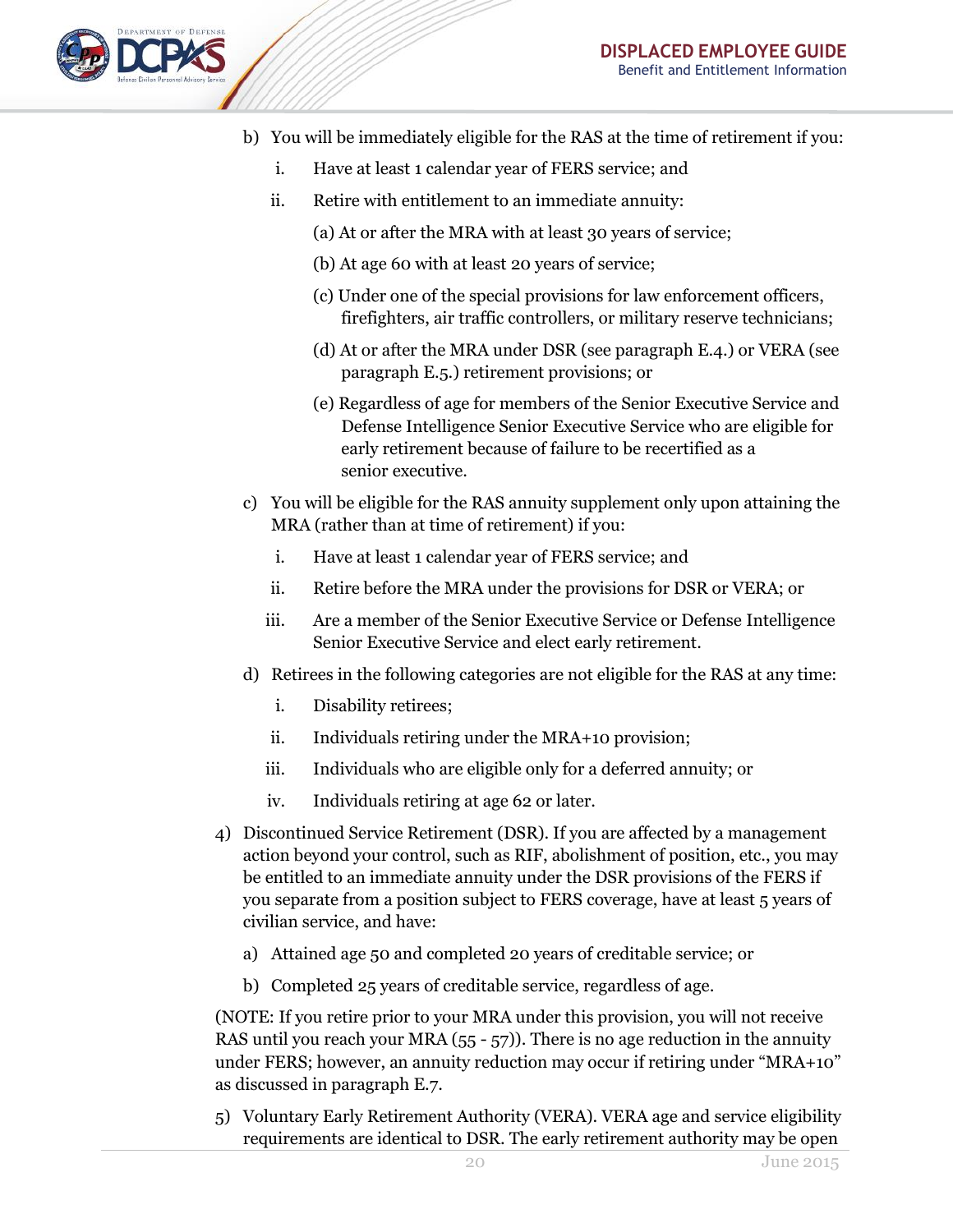

- b) You will be immediately eligible for the RAS at the time of retirement if you:
	- i. Have at least 1 calendar year of FERS service; and
	- ii. Retire with entitlement to an immediate annuity:
		- (a) At or after the MRA with at least 30 years of service;
		- (b) At age 60 with at least 20 years of service;
		- (c) Under one of the special provisions for law enforcement officers, firefighters, air traffic controllers, or military reserve technicians;
		- (d) At or after the MRA under DSR (see paragraph E.4.) or VERA (see paragraph E.5.) retirement provisions; or
		- (e) Regardless of age for members of the Senior Executive Service and Defense Intelligence Senior Executive Service who are eligible for early retirement because of failure to be recertified as a senior executive.
- c) You will be eligible for the RAS annuity supplement only upon attaining the MRA (rather than at time of retirement) if you:
	- i. Have at least 1 calendar year of FERS service; and
	- ii. Retire before the MRA under the provisions for DSR or VERA; or
	- iii. Are a member of the Senior Executive Service or Defense Intelligence Senior Executive Service and elect early retirement.
- d) Retirees in the following categories are not eligible for the RAS at any time:
	- i. Disability retirees;
	- ii. Individuals retiring under the MRA+10 provision;
	- iii. Individuals who are eligible only for a deferred annuity; or
	- iv. Individuals retiring at age 62 or later.
- 4) Discontinued Service Retirement (DSR). If you are affected by a management action beyond your control, such as RIF, abolishment of position, etc., you may be entitled to an immediate annuity under the DSR provisions of the FERS if you separate from a position subject to FERS coverage, have at least 5 years of civilian service, and have:
	- a) Attained age 50 and completed 20 years of creditable service; or
	- b) Completed 25 years of creditable service, regardless of age.

(NOTE: If you retire prior to your MRA under this provision, you will not receive RAS until you reach your MRA (55 - 57)). There is no age reduction in the annuity under FERS; however, an annuity reduction may occur if retiring under "MRA+10" as discussed in paragraph E.7.

5) Voluntary Early Retirement Authority (VERA). VERA age and service eligibility requirements are identical to DSR. The early retirement authority may be open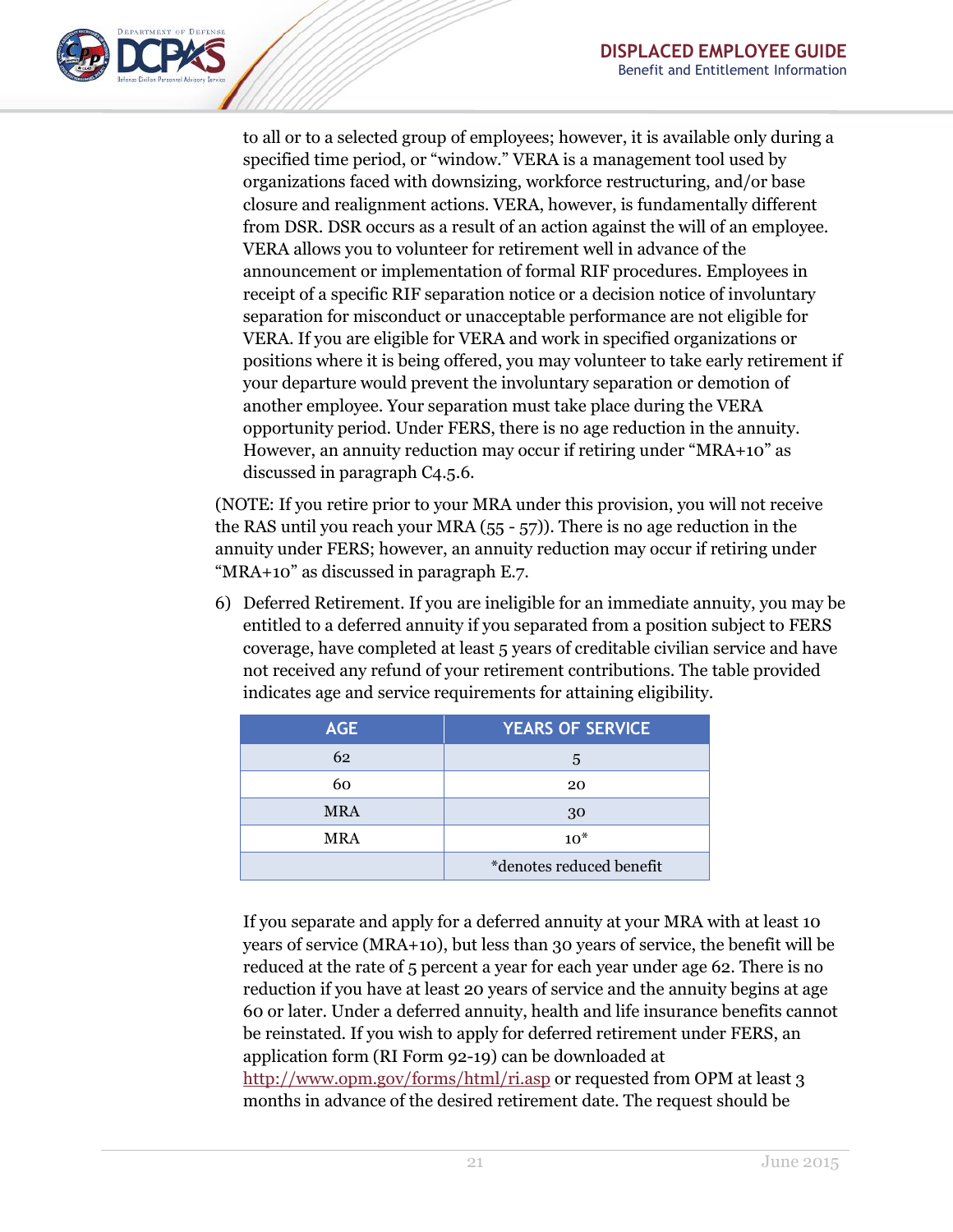

to all or to a selected group of employees; however, it is available only during a specified time period, or "window." VERA is a management tool used by organizations faced with downsizing, workforce restructuring, and/or base closure and realignment actions. VERA, however, is fundamentally different from DSR. DSR occurs as a result of an action against the will of an employee. VERA allows you to volunteer for retirement well in advance of the announcement or implementation of formal RIF procedures. Employees in receipt of a specific RIF separation notice or a decision notice of involuntary separation for misconduct or unacceptable performance are not eligible for VERA. If you are eligible for VERA and work in specified organizations or positions where it is being offered, you may volunteer to take early retirement if your departure would prevent the involuntary separation or demotion of another employee. Your separation must take place during the VERA opportunity period. Under FERS, there is no age reduction in the annuity. However, an annuity reduction may occur if retiring under "MRA+10" as discussed in paragraph C4.5.6.

(NOTE: If you retire prior to your MRA under this provision, you will not receive the RAS until you reach your MRA (55 - 57)). There is no age reduction in the annuity under FERS; however, an annuity reduction may occur if retiring under "MRA+10" as discussed in paragraph E.7.

6) Deferred Retirement. If you are ineligible for an immediate annuity, you may be entitled to a deferred annuity if you separated from a position subject to FERS coverage, have completed at least 5 years of creditable civilian service and have not received any refund of your retirement contributions. The table provided indicates age and service requirements for attaining eligibility.

| <b>AGE</b> | <b>YEARS OF SERVICE</b>  |
|------------|--------------------------|
| 62         | 5                        |
| 60         | 20                       |
| <b>MRA</b> | 30                       |
| <b>MRA</b> | $10*$                    |
|            | *denotes reduced benefit |

If you separate and apply for a deferred annuity at your MRA with at least 10 years of service (MRA+10), but less than 30 years of service, the benefit will be reduced at the rate of 5 percent a year for each year under age 62. There is no reduction if you have at least 20 years of service and the annuity begins at age 60 or later. Under a deferred annuity, health and life insurance benefits cannot be reinstated. If you wish to apply for deferred retirement under FERS, an application form (RI Form 92-19) can be downloaded at <http://www.opm.gov/forms/html/ri.asp> or requested from OPM at least 3 months in advance of the desired retirement date. The request should be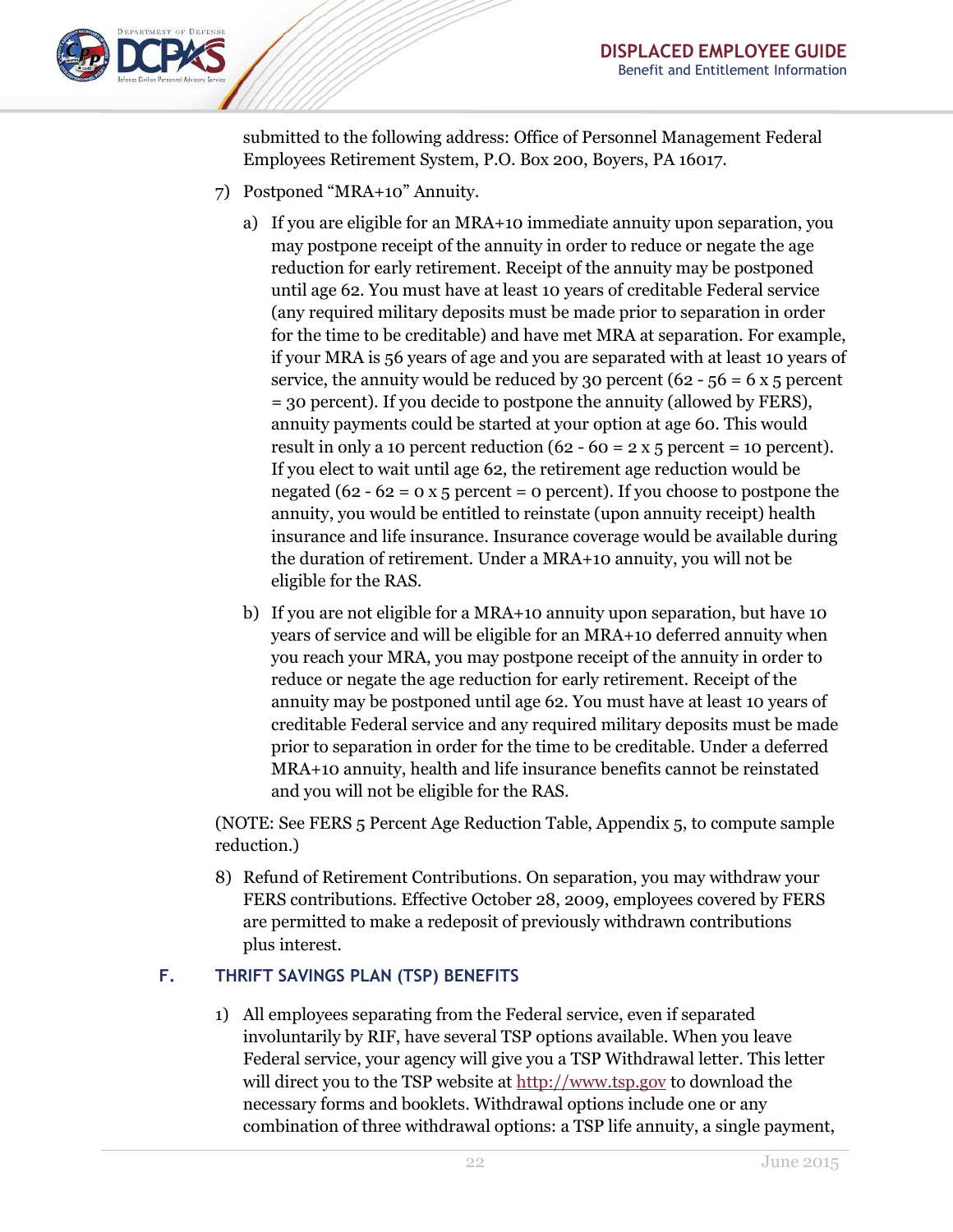

submitted to the following address: Office of Personnel Management Federal Employees Retirement System, P.O. Box 200, Boyers, PA 16017.

- 7) Postponed "MRA+10" Annuity.
	- a) If you are eligible for an MRA+10 immediate annuity upon separation, you may postpone receipt of the annuity in order to reduce or negate the age reduction for early retirement. Receipt of the annuity may be postponed until age 62. You must have at least 10 years of creditable Federal service (any required military deposits must be made prior to separation in order for the time to be creditable) and have met MRA at separation. For example, if your MRA is 56 years of age and you are separated with at least 10 years of service, the annuity would be reduced by 30 percent (62 -  $56 = 6 \times 5$  percent = 30 percent). If you decide to postpone the annuity (allowed by FERS), annuity payments could be started at your option at age 60. This would result in only a 10 percent reduction  $(62 - 60 = 2 \times 5$  percent = 10 percent). If you elect to wait until age 62, the retirement age reduction would be negated (62 - 62 = 0 x 5 percent = 0 percent). If you choose to postpone the annuity, you would be entitled to reinstate (upon annuity receipt) health insurance and life insurance. Insurance coverage would be available during the duration of retirement. Under a MRA+10 annuity, you will not be eligible for the RAS.
	- b) If you are not eligible for a MRA+10 annuity upon separation, but have 10 years of service and will be eligible for an MRA+10 deferred annuity when you reach your MRA, you may postpone receipt of the annuity in order to reduce or negate the age reduction for early retirement. Receipt of the annuity may be postponed until age 62. You must have at least 10 years of creditable Federal service and any required military deposits must be made prior to separation in order for the time to be creditable. Under a deferred MRA+10 annuity, health and life insurance benefits cannot be reinstated and you will not be eligible for the RAS.

(NOTE: See FERS 5 Percent Age Reduction Table, Appendix 5, to compute sample reduction.)

8) Refund of Retirement Contributions. On separation, you may withdraw your FERS contributions. Effective October 28, 2009, employees covered by FERS are permitted to make a redeposit of previously withdrawn contributions plus interest.

#### <span id="page-21-0"></span>**F. THRIFT SAVINGS PLAN (TSP) BENEFITS**

1) All employees separating from the Federal service, even if separated involuntarily by RIF, have several TSP options available. When you leave Federal service, your agency will give you a TSP Withdrawal letter. This letter will direct you to the TSP website at [http://www.tsp.gov](http://www.tsp.gov/) to download the necessary forms and booklets. Withdrawal options include one or any combination of three withdrawal options: a TSP life annuity, a single payment,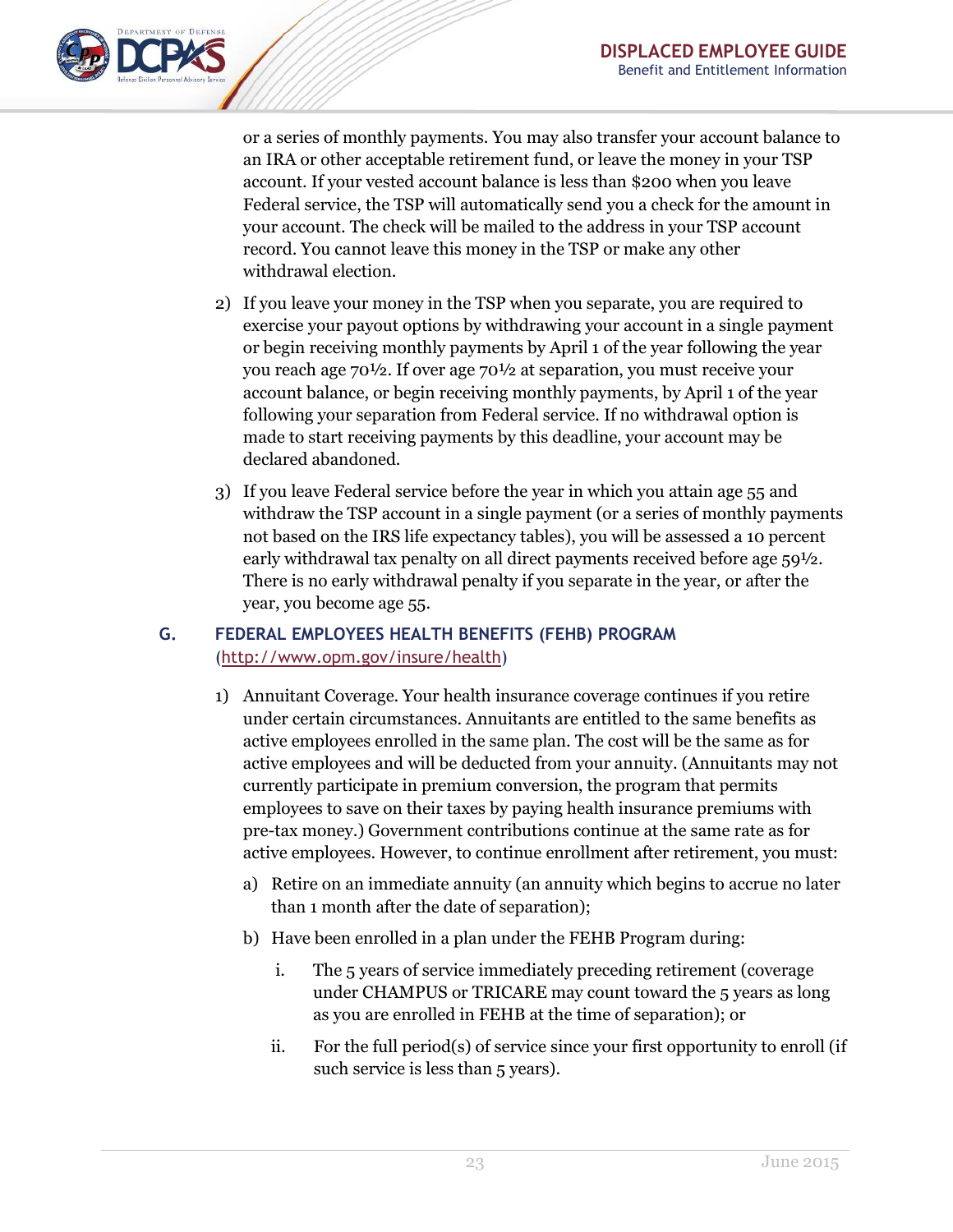

or a series of monthly payments. You may also transfer your account balance to an IRA or other acceptable retirement fund, or leave the money in your TSP account. If your vested account balance is less than \$200 when you leave Federal service, the TSP will automatically send you a check for the amount in your account. The check will be mailed to the address in your TSP account record. You cannot leave this money in the TSP or make any other withdrawal election.

- 2) If you leave your money in the TSP when you separate, you are required to exercise your payout options by withdrawing your account in a single payment or begin receiving monthly payments by April 1 of the year following the year you reach age 70½. If over age 70½ at separation, you must receive your account balance, or begin receiving monthly payments, by April 1 of the year following your separation from Federal service. If no withdrawal option is made to start receiving payments by this deadline, your account may be declared abandoned.
- 3) If you leave Federal service before the year in which you attain age 55 and withdraw the TSP account in a single payment (or a series of monthly payments not based on the IRS life expectancy tables), you will be assessed a 10 percent early withdrawal tax penalty on all direct payments received before age 59½. There is no early withdrawal penalty if you separate in the year, or after the year, you become age 55.

#### <span id="page-22-0"></span>**G. FEDERAL EMPLOYEES HEALTH BENEFITS (FEHB) PROGRAM** [\(http://www.opm.gov/insure/health\)](http://www.opm.gov/insure/health)

- 1) Annuitant Coverage. Your health insurance coverage continues if you retire under certain circumstances. Annuitants are entitled to the same benefits as active employees enrolled in the same plan. The cost will be the same as for active employees and will be deducted from your annuity. (Annuitants may not currently participate in premium conversion, the program that permits employees to save on their taxes by paying health insurance premiums with pre-tax money.) Government contributions continue at the same rate as for active employees. However, to continue enrollment after retirement, you must:
	- a) Retire on an immediate annuity (an annuity which begins to accrue no later than 1 month after the date of separation);
	- b) Have been enrolled in a plan under the FEHB Program during:
		- i. The 5 years of service immediately preceding retirement (coverage under CHAMPUS or TRICARE may count toward the 5 years as long as you are enrolled in FEHB at the time of separation); or
		- ii. For the full period(s) of service since your first opportunity to enroll (if such service is less than 5 years).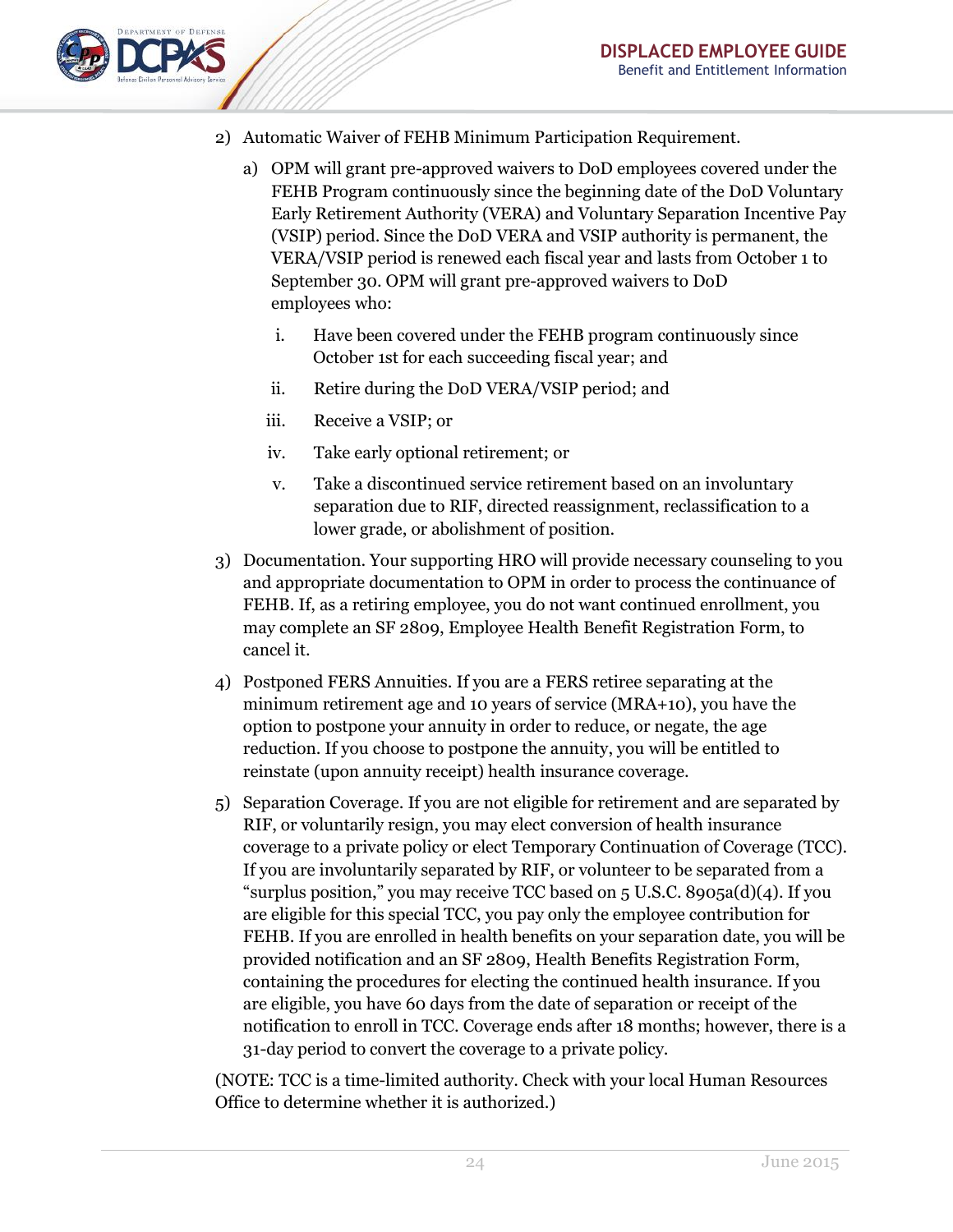

- 2) Automatic Waiver of FEHB Minimum Participation Requirement.
	- a) OPM will grant pre-approved waivers to DoD employees covered under the FEHB Program continuously since the beginning date of the DoD Voluntary Early Retirement Authority (VERA) and Voluntary Separation Incentive Pay (VSIP) period. Since the DoD VERA and VSIP authority is permanent, the VERA/VSIP period is renewed each fiscal year and lasts from October 1 to September 30. OPM will grant pre-approved waivers to DoD employees who:
		- i. Have been covered under the FEHB program continuously since October 1st for each succeeding fiscal year; and
		- ii. Retire during the DoD VERA/VSIP period; and
		- iii. Receive a VSIP; or
		- iv. Take early optional retirement; or
		- v. Take a discontinued service retirement based on an involuntary separation due to RIF, directed reassignment, reclassification to a lower grade, or abolishment of position.
- 3) Documentation. Your supporting HRO will provide necessary counseling to you and appropriate documentation to OPM in order to process the continuance of FEHB. If, as a retiring employee, you do not want continued enrollment, you may complete an SF 2809, Employee Health Benefit Registration Form, to cancel it.
- 4) Postponed FERS Annuities. If you are a FERS retiree separating at the minimum retirement age and 10 years of service (MRA+10), you have the option to postpone your annuity in order to reduce, or negate, the age reduction. If you choose to postpone the annuity, you will be entitled to reinstate (upon annuity receipt) health insurance coverage.
- 5) Separation Coverage. If you are not eligible for retirement and are separated by RIF, or voluntarily resign, you may elect conversion of health insurance coverage to a private policy or elect Temporary Continuation of Coverage (TCC). If you are involuntarily separated by RIF, or volunteer to be separated from a "surplus position," you may receive TCC based on 5 U.S.C. 8905a(d)(4). If you are eligible for this special TCC, you pay only the employee contribution for FEHB. If you are enrolled in health benefits on your separation date, you will be provided notification and an SF 2809, Health Benefits Registration Form, containing the procedures for electing the continued health insurance. If you are eligible, you have 60 days from the date of separation or receipt of the notification to enroll in TCC. Coverage ends after 18 months; however, there is a 31-day period to convert the coverage to a private policy.

(NOTE: TCC is a time-limited authority. Check with your local Human Resources Office to determine whether it is authorized.)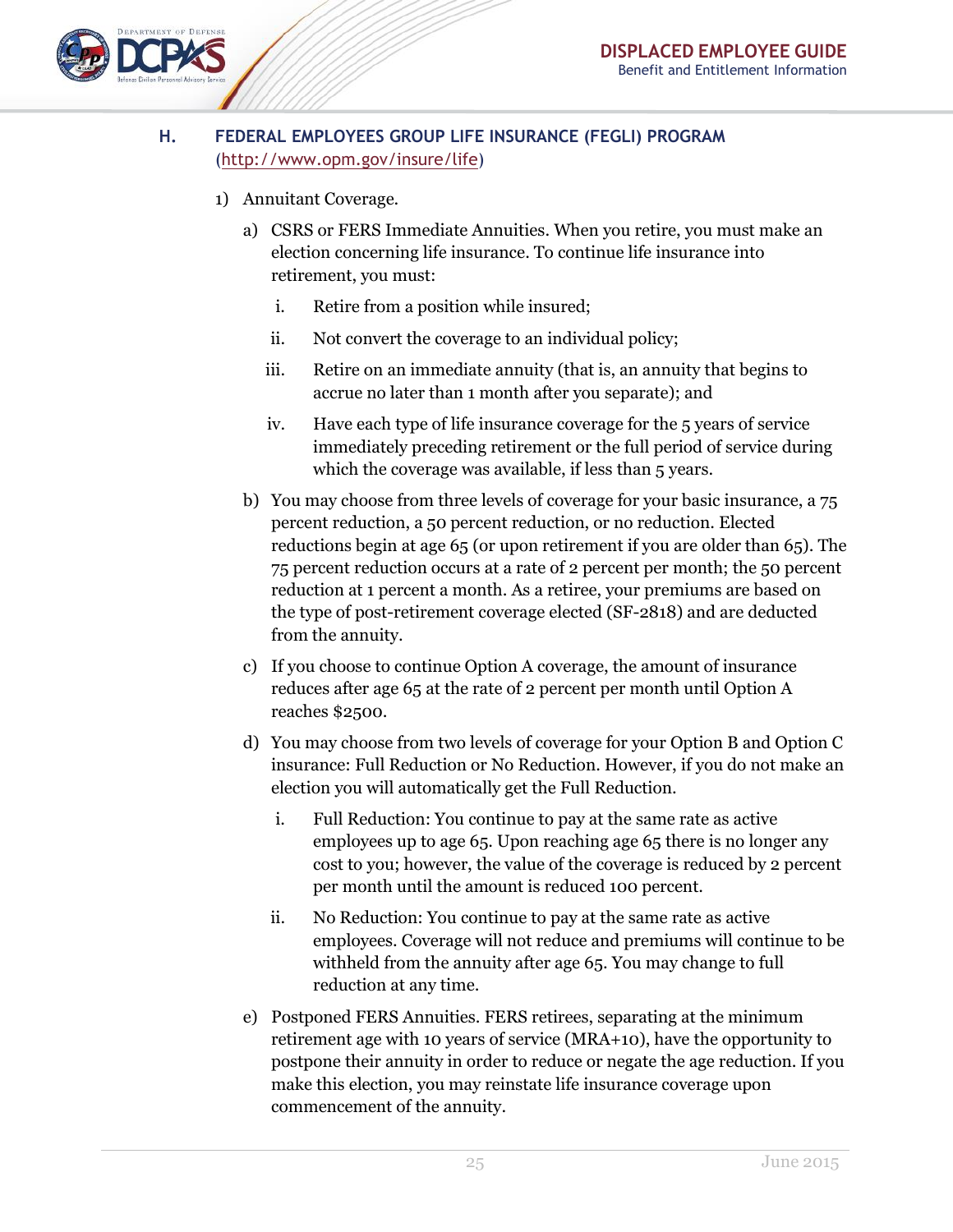

#### <span id="page-24-0"></span>**H. FEDERAL EMPLOYEES GROUP LIFE INSURANCE (FEGLI) PROGRAM** [\(http://www.opm.gov/insure/life\)](http://www.opm.gov/insure/life)

- 1) Annuitant Coverage.
	- a) CSRS or FERS Immediate Annuities. When you retire, you must make an election concerning life insurance. To continue life insurance into retirement, you must:
		- i. Retire from a position while insured;
		- ii. Not convert the coverage to an individual policy;
		- iii. Retire on an immediate annuity (that is, an annuity that begins to accrue no later than 1 month after you separate); and
		- iv. Have each type of life insurance coverage for the 5 years of service immediately preceding retirement or the full period of service during which the coverage was available, if less than 5 years.
	- b) You may choose from three levels of coverage for your basic insurance, a 75 percent reduction, a 50 percent reduction, or no reduction. Elected reductions begin at age 65 (or upon retirement if you are older than 65). The 75 percent reduction occurs at a rate of 2 percent per month; the 50 percent reduction at 1 percent a month. As a retiree, your premiums are based on the type of post-retirement coverage elected (SF-2818) and are deducted from the annuity.
	- c) If you choose to continue Option A coverage, the amount of insurance reduces after age 65 at the rate of 2 percent per month until Option A reaches \$2500.
	- d) You may choose from two levels of coverage for your Option B and Option C insurance: Full Reduction or No Reduction. However, if you do not make an election you will automatically get the Full Reduction.
		- i. Full Reduction: You continue to pay at the same rate as active employees up to age 65. Upon reaching age 65 there is no longer any cost to you; however, the value of the coverage is reduced by 2 percent per month until the amount is reduced 100 percent.
		- ii. No Reduction: You continue to pay at the same rate as active employees. Coverage will not reduce and premiums will continue to be withheld from the annuity after age 65. You may change to full reduction at any time.
	- e) Postponed FERS Annuities. FERS retirees, separating at the minimum retirement age with 10 years of service (MRA+10), have the opportunity to postpone their annuity in order to reduce or negate the age reduction. If you make this election, you may reinstate life insurance coverage upon commencement of the annuity.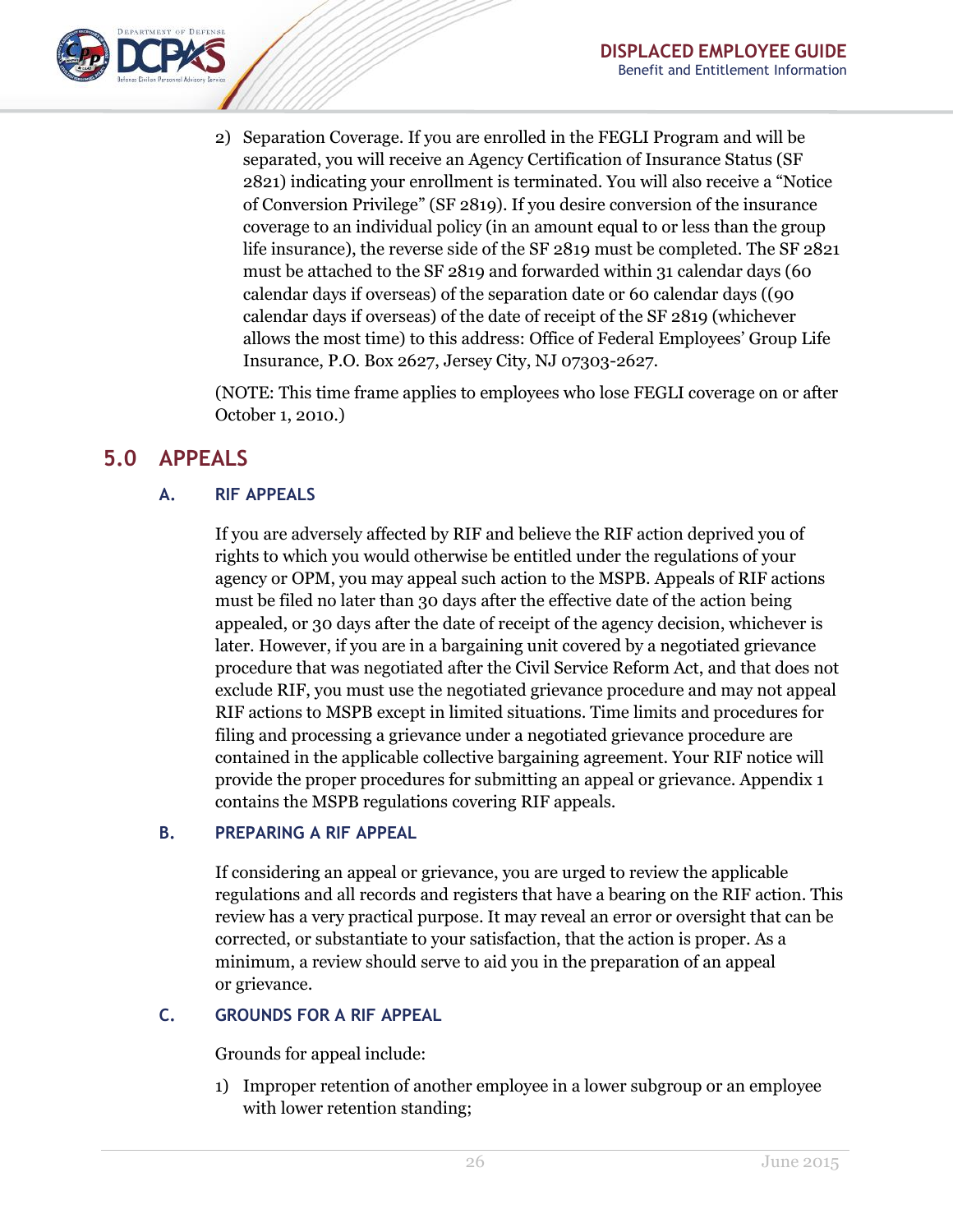

2) Separation Coverage. If you are enrolled in the FEGLI Program and will be separated, you will receive an Agency Certification of Insurance Status (SF 2821) indicating your enrollment is terminated. You will also receive a "Notice of Conversion Privilege" (SF 2819). If you desire conversion of the insurance coverage to an individual policy (in an amount equal to or less than the group life insurance), the reverse side of the SF 2819 must be completed. The SF 2821 must be attached to the SF 2819 and forwarded within 31 calendar days (60 calendar days if overseas) of the separation date or 60 calendar days ((90 calendar days if overseas) of the date of receipt of the SF 2819 (whichever allows the most time) to this address: Office of Federal Employees' Group Life Insurance, P.O. Box 2627, Jersey City, NJ 07303-2627.

(NOTE: This time frame applies to employees who lose FEGLI coverage on or after October 1, 2010.)

## <span id="page-25-1"></span><span id="page-25-0"></span>**5.0 APPEALS**

#### **A. RIF APPEALS**

If you are adversely affected by RIF and believe the RIF action deprived you of rights to which you would otherwise be entitled under the regulations of your agency or OPM, you may appeal such action to the MSPB. Appeals of RIF actions must be filed no later than 30 days after the effective date of the action being appealed, or 30 days after the date of receipt of the agency decision, whichever is later. However, if you are in a bargaining unit covered by a negotiated grievance procedure that was negotiated after the Civil Service Reform Act, and that does not exclude RIF, you must use the negotiated grievance procedure and may not appeal RIF actions to MSPB except in limited situations. Time limits and procedures for filing and processing a grievance under a negotiated grievance procedure are contained in the applicable collective bargaining agreement. Your RIF notice will provide the proper procedures for submitting an appeal or grievance. Appendix 1 contains the MSPB regulations covering RIF appeals.

#### <span id="page-25-2"></span>**B. PREPARING A RIF APPEAL**

If considering an appeal or grievance, you are urged to review the applicable regulations and all records and registers that have a bearing on the RIF action. This review has a very practical purpose. It may reveal an error or oversight that can be corrected, or substantiate to your satisfaction, that the action is proper. As a minimum, a review should serve to aid you in the preparation of an appeal or grievance.

#### <span id="page-25-3"></span>**C. GROUNDS FOR A RIF APPEAL**

Grounds for appeal include:

1) Improper retention of another employee in a lower subgroup or an employee with lower retention standing;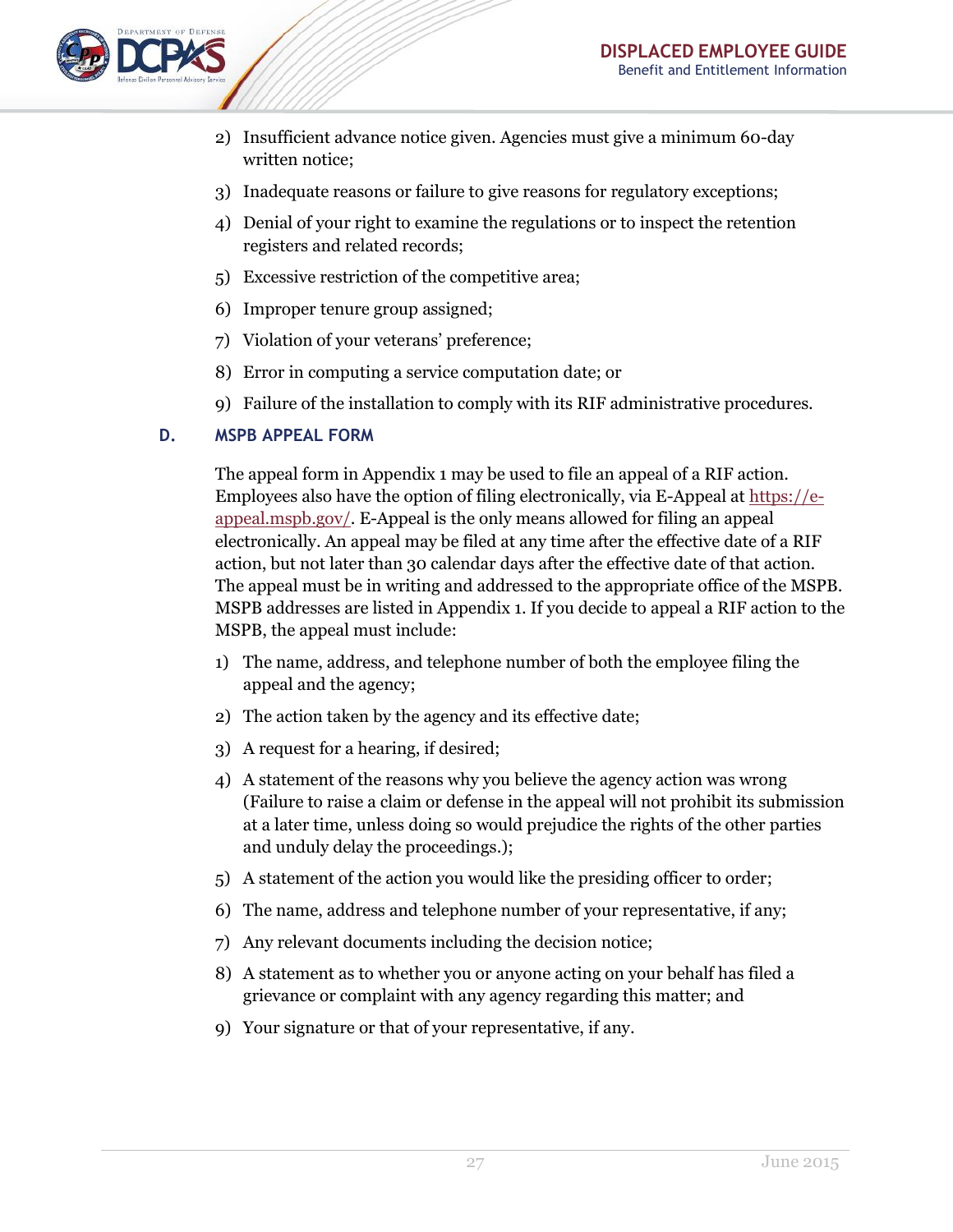

- 2) Insufficient advance notice given. Agencies must give a minimum 60-day written notice;
- 3) Inadequate reasons or failure to give reasons for regulatory exceptions;
- 4) Denial of your right to examine the regulations or to inspect the retention registers and related records;
- 5) Excessive restriction of the competitive area;
- 6) Improper tenure group assigned;
- 7) Violation of your veterans' preference;
- 8) Error in computing a service computation date; or
- 9) Failure of the installation to comply with its RIF administrative procedures.

#### <span id="page-26-0"></span>**D. MSPB APPEAL FORM**

The appeal form in Appendix 1 may be used to file an appeal of a RIF action. Employees also have the option of filing electronically, via E-Appeal at [https://e](https://e-appeal.mspb.gov/)[appeal.mspb.gov/.](https://e-appeal.mspb.gov/) E-Appeal is the only means allowed for filing an appeal electronically. An appeal may be filed at any time after the effective date of a RIF action, but not later than 30 calendar days after the effective date of that action. The appeal must be in writing and addressed to the appropriate office of the MSPB. MSPB addresses are listed in Appendix 1. If you decide to appeal a RIF action to the MSPB, the appeal must include:

- 1) The name, address, and telephone number of both the employee filing the appeal and the agency;
- 2) The action taken by the agency and its effective date;
- 3) A request for a hearing, if desired;
- 4) A statement of the reasons why you believe the agency action was wrong (Failure to raise a claim or defense in the appeal will not prohibit its submission at a later time, unless doing so would prejudice the rights of the other parties and unduly delay the proceedings.);
- 5) A statement of the action you would like the presiding officer to order;
- 6) The name, address and telephone number of your representative, if any;
- 7) Any relevant documents including the decision notice;
- 8) A statement as to whether you or anyone acting on your behalf has filed a grievance or complaint with any agency regarding this matter; and
- 9) Your signature or that of your representative, if any.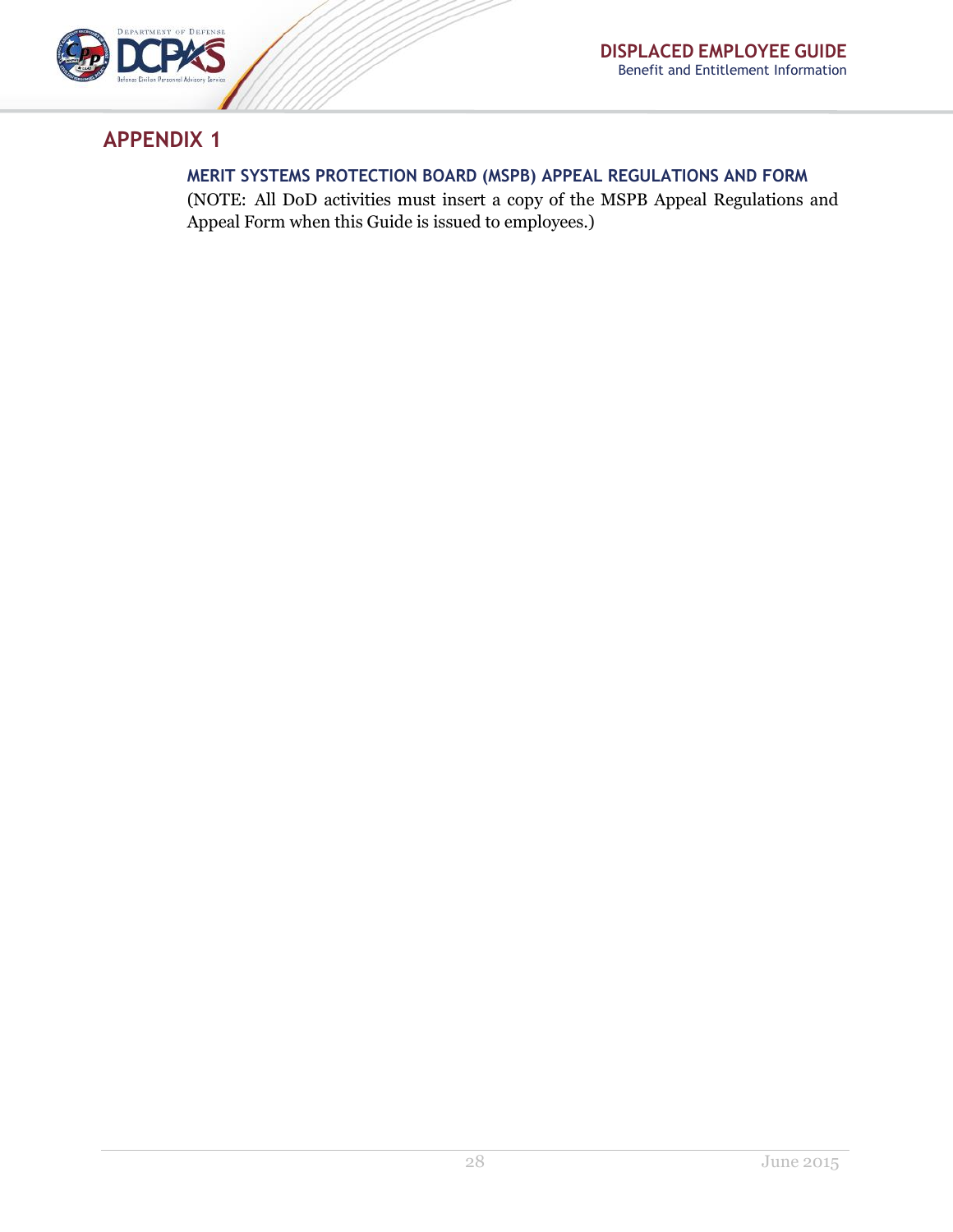

## <span id="page-27-0"></span>**APPENDIX 1**

#### **MERIT SYSTEMS PROTECTION BOARD (MSPB) APPEAL REGULATIONS AND FORM**

(NOTE: All DoD activities must insert a copy of the MSPB Appeal Regulations and Appeal Form when this Guide is issued to employees.)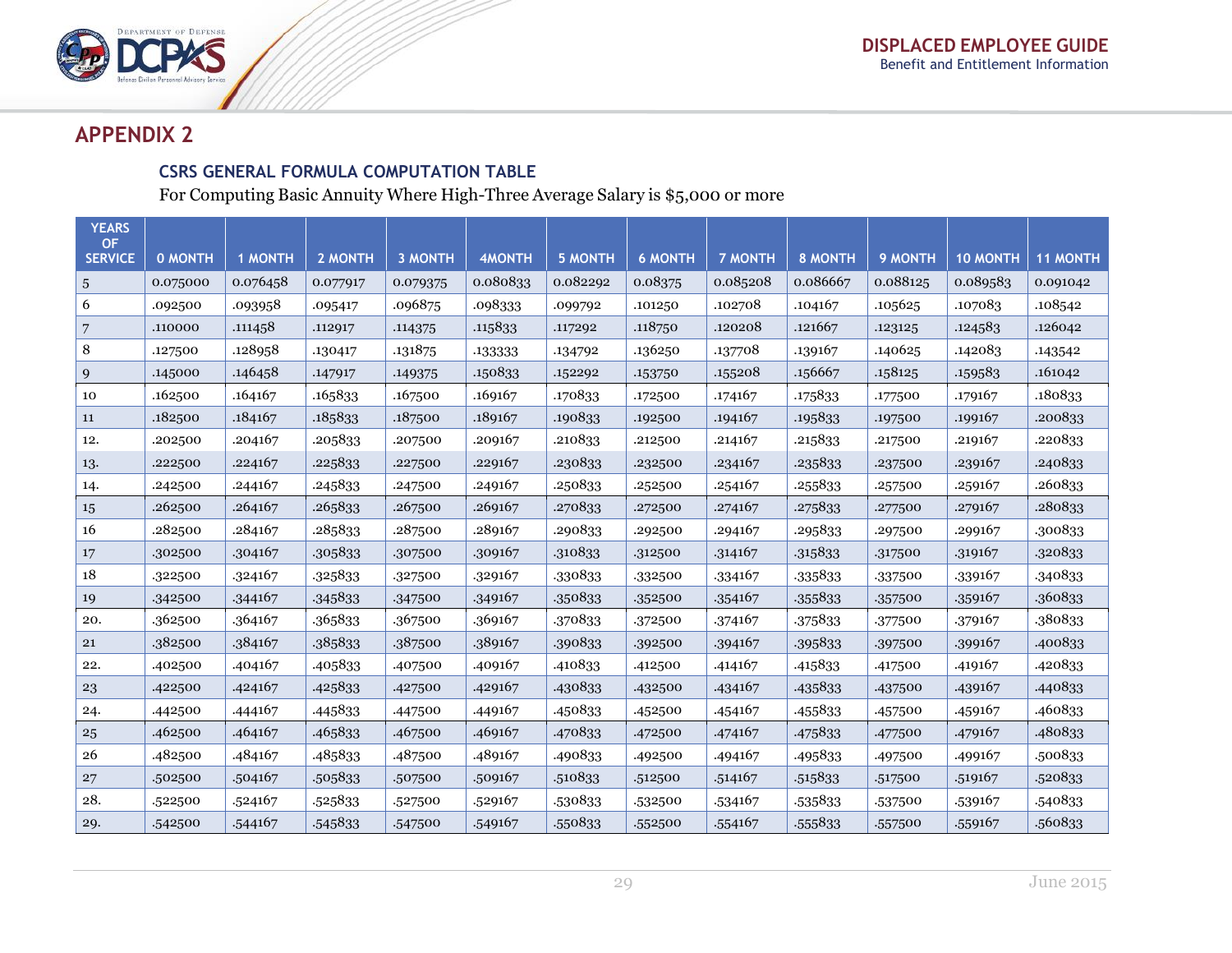

## **APPENDIX 2**

#### **CSRS GENERAL FORMULA COMPUTATION TABLE**

For Computing Basic Annuity Where High-Three Average Salary is \$5,000 or more

| <b>YEARS</b><br>OF. |                |                |          |                |               |                |                |                |          |          |                 |                 |
|---------------------|----------------|----------------|----------|----------------|---------------|----------------|----------------|----------------|----------|----------|-----------------|-----------------|
| <b>SERVICE</b>      | <b>O MONTH</b> | <b>1 MONTH</b> | 2 MONTH  | <b>3 MONTH</b> | <b>4MONTH</b> | <b>5 MONTH</b> | <b>6 MONTH</b> | <b>7 MONTH</b> | 8 MONTH  | 9 MONTH  | <b>10 MONTH</b> | <b>11 MONTH</b> |
| 5                   | 0.075000       | 0.076458       | 0.077917 | 0.079375       | 0.080833      | 0.082292       | 0.08375        | 0.085208       | 0.086667 | 0.088125 | 0.089583        | 0.091042        |
| 6                   | .092500        | .093958        | .095417  | .096875        | .098333       | .099792        | .101250        | .102708        | .104167  | .105625  | .107083         | .108542         |
|                     | .110000        | .111458        | .112917  | .114375        | .115833       | .117292        | .118750        | .120208        | .121667  | .123125  | .124583         | .126042         |
| 8                   | .127500        | .128958        | .130417  | .131875        | .133333       | .134792        | .136250        | .137708        | .139167  | .140625  | .142083         | .143542         |
| 9                   | .145000        | .146458        | .147917  | .149375        | .150833       | .152292        | .153750        | .155208        | .156667  | .158125  | .159583         | .161042         |
| 10                  | .162500        | .164167        | .165833  | .167500        | .169167       | .170833        | .172500        | .174167        | .175833  | .177500  | .179167         | .180833         |
| 11                  | .182500        | .184167        | .185833  | .187500        | .189167       | .190833        | .192500        | .194167        | .195833  | .197500  | .199167         | .200833         |
| 12.                 | .202500        | .204167        | .205833  | .207500        | .209167       | .210833        | .212500        | .214167        | .215833  | .217500  | .219167         | .220833         |
| 13.                 | .222500        | .224167        | .225833  | .227500        | .229167       | .230833        | .232500        | .234167        | .235833  | .237500  | .239167         | .240833         |
| 14.                 | .242500        | .244167        | .245833  | .247500        | .249167       | .250833        | .252500        | .254167        | .255833  | .257500  | .259167         | .260833         |
| 15                  | .262500        | .264167        | .265833  | .267500        | .269167       | .270833        | .272500        | .274167        | .275833  | .277500  | .279167         | .280833         |
| 16                  | .282500        | .284167        | .285833  | .287500        | .289167       | .290833        | .292500        | .294167        | .295833  | .297500  | .299167         | .300833         |
| 17                  | .302500        | .304167        | .305833  | .307500        | .309167       | .310833        | .312500        | .314167        | .315833  | .317500  | .319167         | .320833         |
| 18                  | .322500        | .324167        | .325833  | .327500        | .329167       | .330833        | .332500        | .334167        | .335833  | .337500  | .339167         | .340833         |
| 19                  | .342500        | .344167        | .345833  | .347500        | .349167       | .350833        | .352500        | .354167        | .355833  | .357500  | .359167         | .360833         |
| 20.                 | .362500        | .364167        | .365833  | .367500        | .369167       | .370833        | .372500        | .374167        | .375833  | .377500  | .379167         | .380833         |
| 21                  | .382500        | .384167        | .385833  | .387500        | .389167       | .390833        | .392500        | .394167        | .395833  | .397500  | .399167         | .400833         |
| 22.                 | .402500        | .404167        | .405833  | .407500        | .409167       | .410833        | .412500        | .414167        | .415833  | .417500  | .419167         | .420833         |
| 23                  | .422500        | .424167        | .425833  | .427500        | .429167       | .430833        | .432500        | .434167        | .435833  | .437500  | .439167         | .440833         |
| 24.                 | .442500        | .444167        | .445833  | .447500        | .449167       | .450833        | .452500        | .454167        | .455833  | .457500  | .459167         | .460833         |
| 25                  | .462500        | .464167        | .465833  | .467500        | .469167       | .470833        | .472500        | .474167        | .475833  | .477500  | .479167         | .480833         |
| 26                  | .482500        | .484167        | .485833  | .487500        | .489167       | .490833        | .492500        | .494167        | .495833  | .497500  | .499167         | .500833         |
| 27                  | .502500        | .504167        | .505833  | .507500        | .509167       | .510833        | .512500        | .514167        | .515833  | .517500  | .519167         | .520833         |
| 28.                 | .522500        | .524167        | .525833  | .527500        | .529167       | .530833        | .532500        | .534167        | .535833  | .537500  | .539167         | .540833         |
| 29.                 | .542500        | .544167        | .545833  | .547500        | .549167       | .550833        | .552500        | .554167        | .555833  | .557500  | .559167         | .560833         |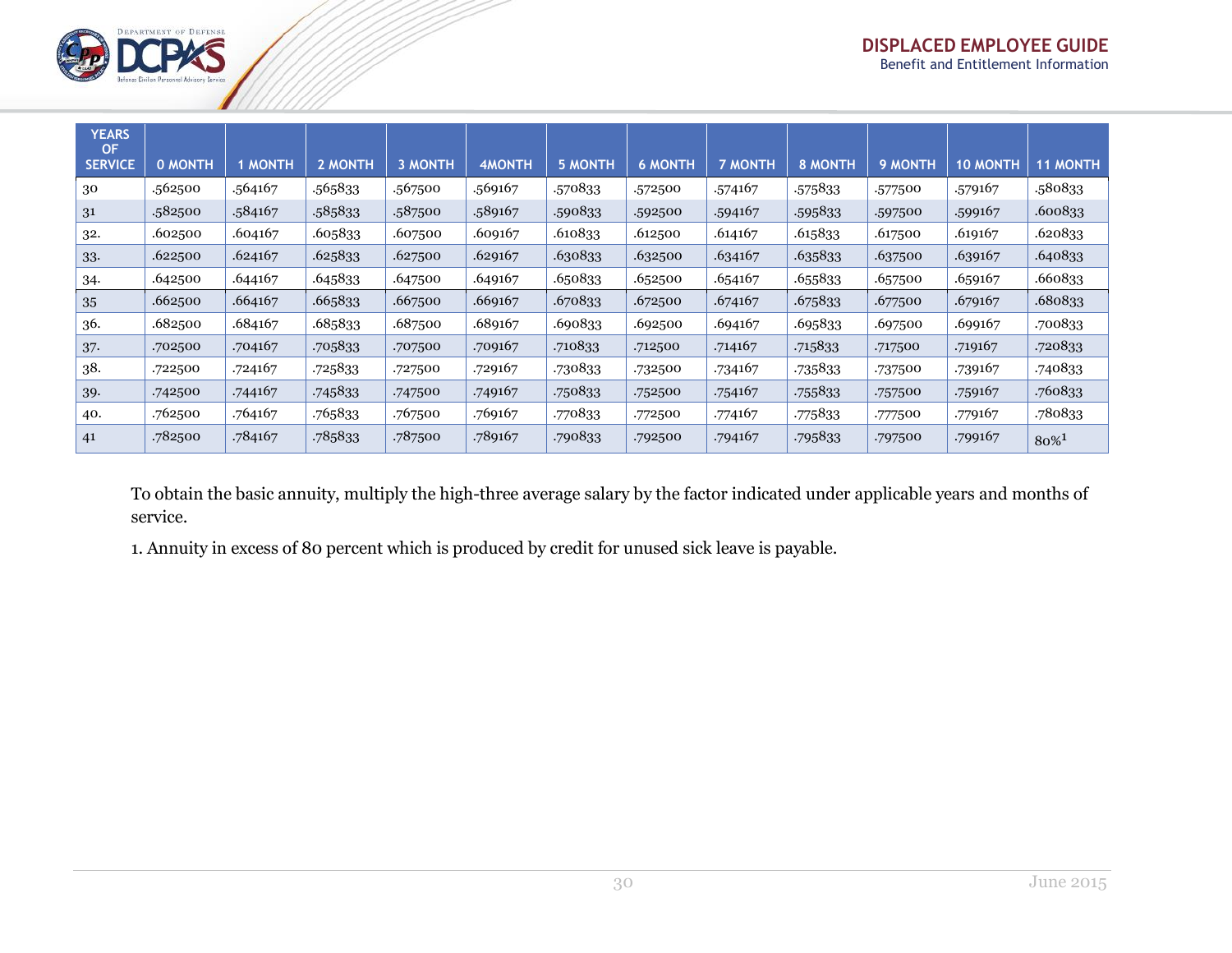

| <b>YEARS</b><br><b>OF</b><br><b>SERVICE</b> | <b>O MONTH</b> | <b>1 MONTH</b> | 2 MONTH | <b>3 MONTH</b> | <b>4MONTH</b> | <b>5 MONTH</b> | <b>6 MONTH</b> | <b>7 MONTH</b> | 8 MONTH | <b>9 MONTH</b> | <b>10 MONTH</b> | <b>11 MONTH</b>     |
|---------------------------------------------|----------------|----------------|---------|----------------|---------------|----------------|----------------|----------------|---------|----------------|-----------------|---------------------|
| 30                                          | .562500        | .564167        | .565833 | .567500        | .569167       | .570833        | .572500        | .574167        | .575833 | .577500        | .579167         | .580833             |
| 31                                          | .582500        | .584167        | .585833 | .587500        | .589167       | .590833        | .592500        | .594167        | .595833 | .597500        | .599167         | .600833             |
| 32.                                         | .602500        | .604167        | .605833 | .607500        | .609167       | .610833        | .612500        | .614167        | .615833 | .617500        | .619167         | .620833             |
| 33.                                         | .622500        | .624167        | .625833 | .627500        | .629167       | .630833        | .632500        | .634167        | .635833 | .637500        | .639167         | .640833             |
| 34.                                         | .642500        | .644167        | .645833 | .647500        | .649167       | .650833        | .652500        | .654167        | .655833 | .657500        | .659167         | .660833             |
| 35                                          | .662500        | .664167        | .665833 | .667500        | .669167       | .670833        | .672500        | .674167        | .675833 | .677500        | .679167         | .680833             |
| 36.                                         | .682500        | .684167        | .685833 | .687500        | .689167       | .690833        | .692500        | .694167        | .695833 | .697500        | .699167         | .700833             |
| 37.                                         | .702500        | .704167        | .705833 | .707500        | .709167       | .710833        | .712500        | .714167        | .715833 | .717500        | .719167         | .720833             |
| 38.                                         | .722500        | .724167        | .725833 | .727500        | .729167       | .730833        | .732500        | .734167        | .735833 | .737500        | .739167         | .740833             |
| 39.                                         | .742500        | .744167        | .745833 | .747500        | .749167       | .750833        | .752500        | .754167        | .755833 | .757500        | .759167         | .760833             |
| 40.                                         | .762500        | .764167        | .765833 | .767500        | .769167       | .770833        | .772500        | .774167        | .775833 | .777500        | .779167         | .780833             |
| 41                                          | .782500        | .784167        | .785833 | .787500        | .789167       | .790833        | .792500        | .794167        | .795833 | .797500        | .799167         | $80\%$ <sup>1</sup> |

To obtain the basic annuity, multiply the high-three average salary by the factor indicated under applicable years and months of service.

1. Annuity in excess of 80 percent which is produced by credit for unused sick leave is payable.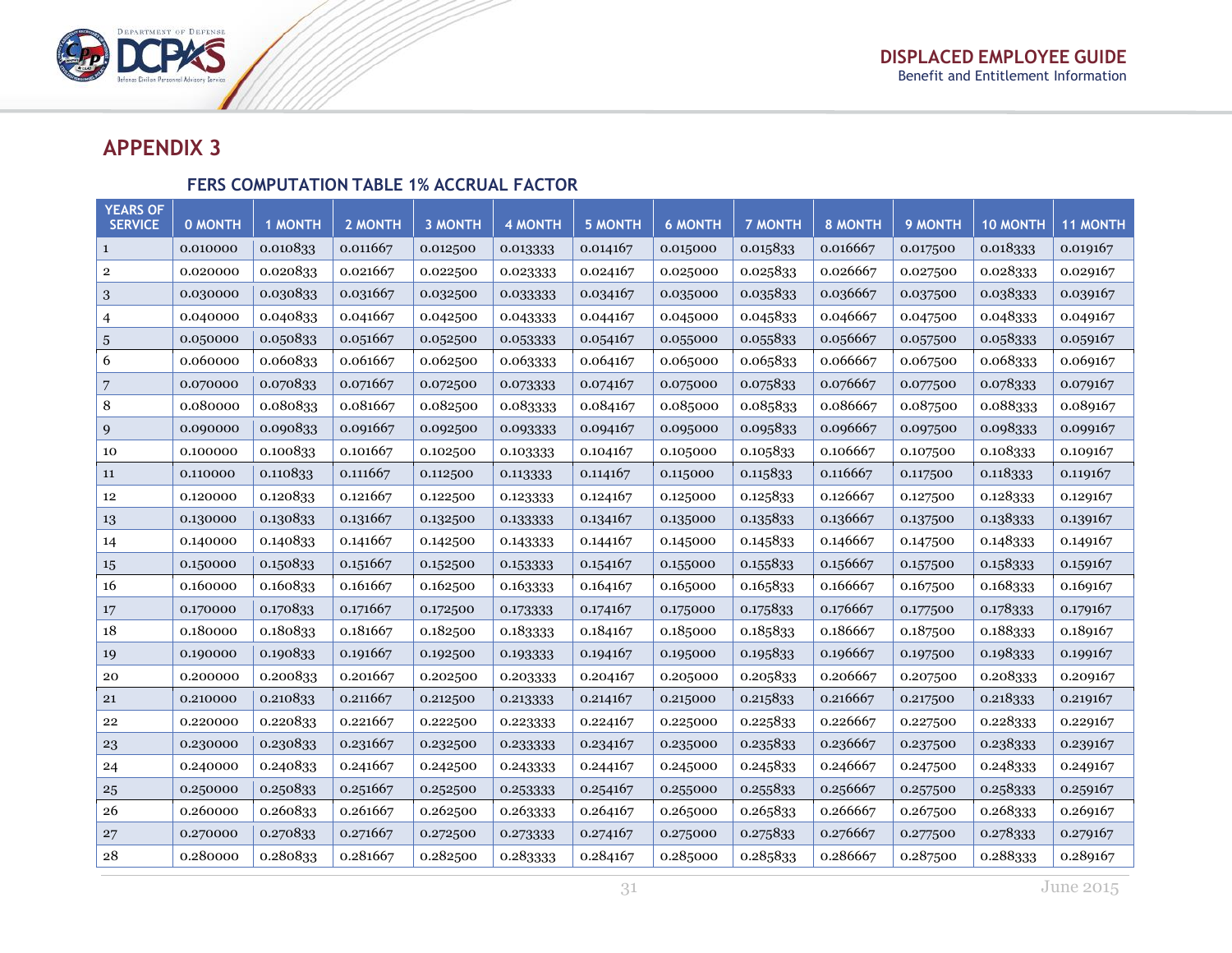

## **APPENDIX 3**

#### **FERS COMPUTATION TABLE 1% ACCRUAL FACTOR**

| <b>YEARS OF</b><br><b>SERVICE</b> | <b>0 MONTH</b> | <b>1 MONTH</b> | 2 MONTH  | <b>3 MONTH</b> | <b>4 MONTH</b> | <b>5 MONTH</b> | <b>6 MONTH</b> | <b>7 MONTH</b> | 8 MONTH  | 9 MONTH  | <b>10 MONTH</b> | <b>11 MONTH</b> |
|-----------------------------------|----------------|----------------|----------|----------------|----------------|----------------|----------------|----------------|----------|----------|-----------------|-----------------|
| $\mathbf{1}$                      | 0.010000       | 0.010833       | 0.011667 | 0.012500       | 0.013333       | 0.014167       | 0.015000       | 0.015833       | 0.016667 | 0.017500 | 0.018333        | 0.019167        |
| $\overline{2}$                    | 0.020000       | 0.020833       | 0.021667 | 0.022500       | 0.023333       | 0.024167       | 0.025000       | 0.025833       | 0.026667 | 0.027500 | 0.028333        | 0.029167        |
| 3                                 | 0.030000       | 0.030833       | 0.031667 | 0.032500       | 0.033333       | 0.034167       | 0.035000       | 0.035833       | 0.036667 | 0.037500 | 0.038333        | 0.039167        |
| 4                                 | 0.040000       | 0.040833       | 0.041667 | 0.042500       | 0.043333       | 0.044167       | 0.045000       | 0.045833       | 0.046667 | 0.047500 | 0.048333        | 0.049167        |
| 5                                 | 0.050000       | 0.050833       | 0.051667 | 0.052500       | 0.053333       | 0.054167       | 0.055000       | 0.055833       | 0.056667 | 0.057500 | 0.058333        | 0.059167        |
| 6                                 | 0.060000       | 0.060833       | 0.061667 | 0.062500       | 0.063333       | 0.064167       | 0.065000       | 0.065833       | 0.066667 | 0.067500 | 0.068333        | 0.069167        |
| 7                                 | 0.070000       | 0.070833       | 0.071667 | 0.072500       | 0.073333       | 0.074167       | 0.075000       | 0.075833       | 0.076667 | 0.077500 | 0.078333        | 0.079167        |
| 8                                 | 0.080000       | 0.080833       | 0.081667 | 0.082500       | 0.083333       | 0.084167       | 0.085000       | 0.085833       | 0.086667 | 0.087500 | 0.088333        | 0.089167        |
| 9                                 | 0.090000       | 0.090833       | 0.091667 | 0.092500       | 0.093333       | 0.094167       | 0.095000       | 0.095833       | 0.096667 | 0.097500 | 0.098333        | 0.099167        |
| 10                                | 0.100000       | 0.100833       | 0.101667 | 0.102500       | 0.103333       | 0.104167       | 0.105000       | 0.105833       | 0.106667 | 0.107500 | 0.108333        | 0.109167        |
| 11                                | 0.110000       | 0.110833       | 0.111667 | 0.112500       | 0.113333       | 0.114167       | 0.115000       | 0.115833       | 0.116667 | 0.117500 | 0.118333        | 0.119167        |
| 12                                | 0.120000       | 0.120833       | 0.121667 | 0.122500       | 0.123333       | 0.124167       | 0.125000       | 0.125833       | 0.126667 | 0.127500 | 0.128333        | 0.129167        |
| 13                                | 0.130000       | 0.130833       | 0.131667 | 0.132500       | 0.133333       | 0.134167       | 0.135000       | 0.135833       | 0.136667 | 0.137500 | 0.138333        | 0.139167        |
| 14                                | 0.140000       | 0.140833       | 0.141667 | 0.142500       | 0.143333       | 0.144167       | 0.145000       | 0.145833       | 0.146667 | 0.147500 | 0.148333        | 0.149167        |
| 15                                | 0.150000       | 0.150833       | 0.151667 | 0.152500       | 0.153333       | 0.154167       | 0.155000       | 0.155833       | 0.156667 | 0.157500 | 0.158333        | 0.159167        |
| 16                                | 0.160000       | 0.160833       | 0.161667 | 0.162500       | 0.163333       | 0.164167       | 0.165000       | 0.165833       | 0.166667 | 0.167500 | 0.168333        | 0.169167        |
| 17                                | 0.170000       | 0.170833       | 0.171667 | 0.172500       | 0.173333       | 0.174167       | 0.175000       | 0.175833       | 0.176667 | 0.177500 | 0.178333        | 0.179167        |
| 18                                | 0.180000       | 0.180833       | 0.181667 | 0.182500       | 0.183333       | 0.184167       | 0.185000       | 0.185833       | 0.186667 | 0.187500 | 0.188333        | 0.189167        |
| 19                                | 0.190000       | 0.190833       | 0.191667 | 0.192500       | 0.193333       | 0.194167       | 0.195000       | 0.195833       | 0.196667 | 0.197500 | 0.198333        | 0.199167        |
| 20                                | 0.200000       | 0.200833       | 0.201667 | 0.202500       | 0.203333       | 0.204167       | 0.205000       | 0.205833       | 0.206667 | 0.207500 | 0.208333        | 0.209167        |
| 21                                | 0.210000       | 0.210833       | 0.211667 | 0.212500       | 0.213333       | 0.214167       | 0.215000       | 0.215833       | 0.216667 | 0.217500 | 0.218333        | 0.219167        |
| 22                                | 0.220000       | 0.220833       | 0.221667 | 0.222500       | 0.223333       | 0.224167       | 0.225000       | 0.225833       | 0.226667 | 0.227500 | 0.228333        | 0.229167        |
| 23                                | 0.230000       | 0.230833       | 0.231667 | 0.232500       | 0.233333       | 0.234167       | 0.235000       | 0.235833       | 0.236667 | 0.237500 | 0.238333        | 0.239167        |
| 24                                | 0.240000       | 0.240833       | 0.241667 | 0.242500       | 0.243333       | 0.244167       | 0.245000       | 0.245833       | 0.246667 | 0.247500 | 0.248333        | 0.249167        |
| 25                                | 0.250000       | 0.250833       | 0.251667 | 0.252500       | 0.253333       | 0.254167       | 0.255000       | 0.255833       | 0.256667 | 0.257500 | 0.258333        | 0.259167        |
| 26                                | 0.260000       | 0.260833       | 0.261667 | 0.262500       | 0.263333       | 0.264167       | 0.265000       | 0.265833       | 0.266667 | 0.267500 | 0.268333        | 0.269167        |
| 27                                | 0.270000       | 0.270833       | 0.271667 | 0.272500       | 0.273333       | 0.274167       | 0.275000       | 0.275833       | 0.276667 | 0.277500 | 0.278333        | 0.279167        |
| 28                                | 0.280000       | 0.280833       | 0.281667 | 0.282500       | 0.283333       | 0.284167       | 0.285000       | 0.285833       | 0.286667 | 0.287500 | 0.288333        | 0.289167        |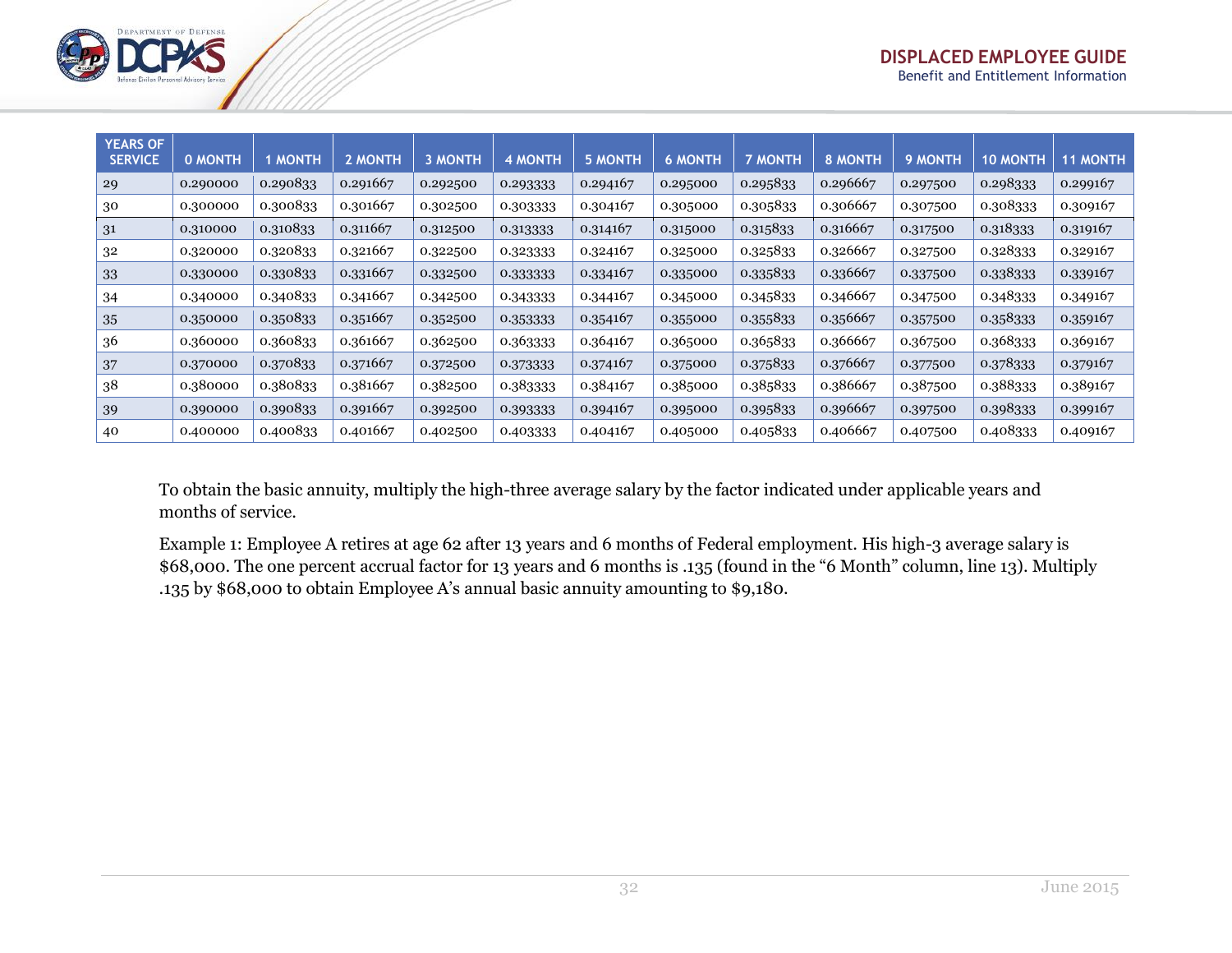

| <b>YEARS OF</b><br><b>SERVICE</b> | <b>O MONTH</b> | <b>MONTH</b> | 2 MONTH  | <b>3 MONTH</b> | <b>4 MONTH</b> | <b>5 MONTH</b> | <b>6 MONTH</b> | <b>7 MONTH</b> | 8 MONTH  | 9 MONTH  | <b>10 MONTH</b> | <b>11 MONTH</b> |
|-----------------------------------|----------------|--------------|----------|----------------|----------------|----------------|----------------|----------------|----------|----------|-----------------|-----------------|
| 29                                | 0.290000       | 0.290833     | 0.291667 | 0.292500       | 0.293333       | 0.294167       | 0.295000       | 0.295833       | 0.296667 | 0.297500 | 0.298333        | 0.299167        |
| 30                                | 0.300000       | 0.300833     | 0.301667 | 0.302500       | 0.303333       | 0.304167       | 0.305000       | 0.305833       | 0.306667 | 0.307500 | 0.308333        | 0.309167        |
| 31                                | 0.310000       | 0.310833     | 0.311667 | 0.312500       | 0.313333       | 0.314167       | 0.315000       | 0.315833       | 0.316667 | 0.317500 | 0.318333        | 0.319167        |
| 32                                | 0.320000       | 0.320833     | 0.321667 | 0.322500       | 0.323333       | 0.324167       | 0.325000       | 0.325833       | 0.326667 | 0.327500 | 0.328333        | 0.329167        |
| 33                                | 0.330000       | 0.330833     | 0.331667 | 0.332500       | 0.333333       | 0.334167       | 0.335000       | 0.335833       | 0.336667 | 0.337500 | 0.338333        | 0.339167        |
| 34                                | 0.340000       | 0.340833     | 0.341667 | 0.342500       | 0.343333       | 0.344167       | 0.345000       | 0.345833       | 0.346667 | 0.347500 | 0.348333        | 0.349167        |
| 35                                | 0.350000       | 0.350833     | 0.351667 | 0.352500       | 0.353333       | 0.354167       | 0.355000       | 0.355833       | 0.356667 | 0.357500 | 0.358333        | 0.359167        |
| 36                                | 0.360000       | 0.360833     | 0.361667 | 0.362500       | 0.363333       | 0.364167       | 0.365000       | 0.365833       | 0.366667 | 0.367500 | 0.368333        | 0.369167        |
| 37                                | 0.370000       | 0.370833     | 0.371667 | 0.372500       | 0.373333       | 0.374167       | 0.375000       | 0.375833       | 0.376667 | 0.377500 | 0.378333        | 0.379167        |
| 38                                | 0.380000       | 0.380833     | 0.381667 | 0.382500       | 0.383333       | 0.384167       | 0.385000       | 0.385833       | 0.386667 | 0.387500 | 0.388333        | 0.389167        |
| 39                                | 0.390000       | 0.390833     | 0.391667 | 0.392500       | 0.393333       | 0.394167       | 0.395000       | 0.395833       | 0.396667 | 0.397500 | 0.398333        | 0.399167        |
| 40                                | 0.400000       | 0.400833     | 0.401667 | 0.402500       | 0.403333       | 0.404167       | 0.405000       | 0.405833       | 0.406667 | 0.407500 | 0.408333        | 0.409167        |

To obtain the basic annuity, multiply the high-three average salary by the factor indicated under applicable years and months of service.

Example 1: Employee A retires at age 62 after 13 years and 6 months of Federal employment. His high-3 average salary is \$68,000. The one percent accrual factor for 13 years and 6 months is .135 (found in the "6 Month" column, line 13). Multiply .135 by \$68,000 to obtain Employee A's annual basic annuity amounting to \$9,180.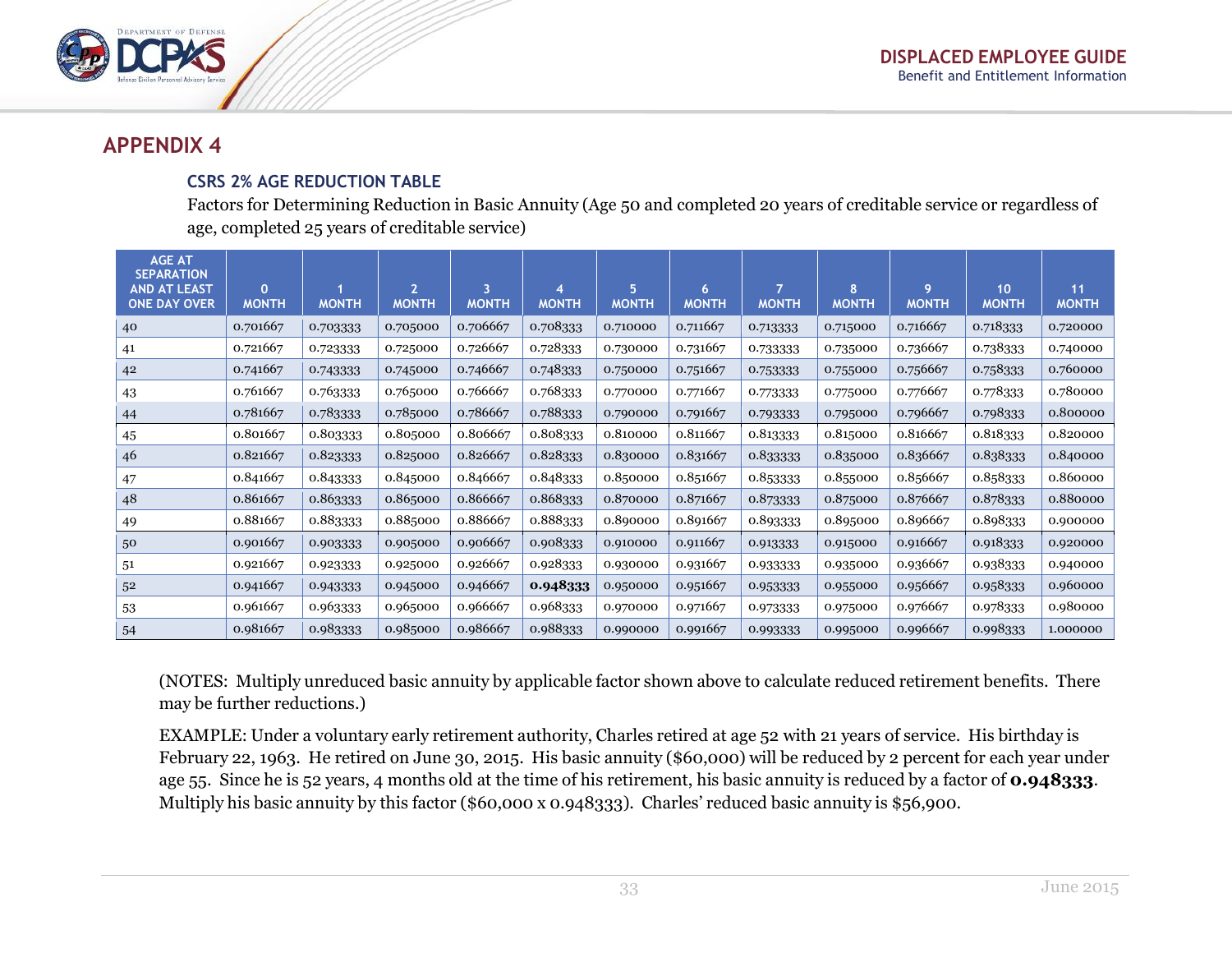

## **APPENDIX 4**

#### **CSRS 2% AGE REDUCTION TABLE**

Factors for Determining Reduction in Basic Annuity (Age 50 and completed 20 years of creditable service or regardless of age, completed 25 years of creditable service)

| <b>AGE AT</b><br><b>SEPARATION</b><br><b>AND AT LEAST</b><br><b>ONE DAY OVER</b> | 0<br><b>MONTH</b> | <b>MONTH</b> | $\overline{2}$<br><b>MONTH</b> | 3<br><b>MONTH</b> | $\overline{4}$<br><b>MONTH</b> | 5<br><b>MONTH</b> | 6<br><b>MONTH</b> | 7<br><b>MONTH</b> | 8<br><b>MONTH</b> | 9<br><b>MONTH</b> | 10<br><b>MONTH</b> | 11<br><b>MONTH</b> |
|----------------------------------------------------------------------------------|-------------------|--------------|--------------------------------|-------------------|--------------------------------|-------------------|-------------------|-------------------|-------------------|-------------------|--------------------|--------------------|
| 40                                                                               | 0.701667          | 0.703333     | 0.705000                       | 0.706667          | 0.708333                       | 0.710000          | 0.711667          | 0.713333          | 0.715000          | 0.716667          | 0.718333           | 0.720000           |
| 41                                                                               | 0.721667          | 0.723333     | 0.725000                       | 0.726667          | 0.728333                       | 0.730000          | 0.731667          | 0.733333          | 0.735000          | 0.736667          | 0.738333           | 0.740000           |
| 42                                                                               | 0.741667          | 0.743333     | 0.745000                       | 0.746667          | 0.748333                       | 0.750000          | 0.751667          | 0.753333          | 0.755000          | 0.756667          | 0.758333           | 0.760000           |
| 43                                                                               | 0.761667          | 0.763333     | 0.765000                       | 0.766667          | 0.768333                       | 0.770000          | 0.771667          | 0.773333          | 0.775000          | 0.776667          | 0.778333           | 0.780000           |
| 44                                                                               | 0.781667          | 0.783333     | 0.785000                       | 0.786667          | 0.788333                       | 0.790000          | 0.791667          | 0.793333          | 0.795000          | 0.796667          | 0.798333           | 0.800000           |
| 45                                                                               | 0.801667          | 0.803333     | 0.805000                       | 0.806667          | 0.808333                       | 0.810000          | 0.811667          | 0.813333          | 0.815000          | 0.816667          | 0.818333           | 0.820000           |
| 46                                                                               | 0.821667          | 0.823333     | 0.825000                       | 0.826667          | 0.828333                       | 0.830000          | 0.831667          | 0.833333          | 0.835000          | 0.836667          | 0.838333           | 0.840000           |
| 47                                                                               | 0.841667          | 0.843333     | 0.845000                       | 0.846667          | 0.848333                       | 0.850000          | 0.851667          | 0.853333          | 0.855000          | 0.856667          | 0.858333           | 0.860000           |
| 48                                                                               | 0.861667          | 0.863333     | 0.865000                       | 0.866667          | 0.868333                       | 0.870000          | 0.871667          | 0.873333          | 0.875000          | 0.876667          | 0.878333           | 0.880000           |
| 49                                                                               | 0.881667          | 0.883333     | 0.885000                       | 0.886667          | 0.888333                       | 0.890000          | 0.891667          | 0.893333          | 0.895000          | 0.896667          | 0.898333           | 0.900000           |
| 50                                                                               | 0.901667          | 0.903333     | 0.905000                       | 0.906667          | 0.908333                       | 0.910000          | 0.911667          | 0.913333          | 0.915000          | 0.916667          | 0.918333           | 0.920000           |
| 51                                                                               | 0.921667          | 0.923333     | 0.925000                       | 0.926667          | 0.928333                       | 0.930000          | 0.931667          | 0.933333          | 0.935000          | 0.936667          | 0.938333           | 0.940000           |
| 52                                                                               | 0.941667          | 0.943333     | 0.945000                       | 0.946667          | 0.948333                       | 0.950000          | 0.951667          | 0.953333          | 0.955000          | 0.956667          | 0.958333           | 0.960000           |
| 53                                                                               | 0.961667          | 0.963333     | 0.965000                       | 0.966667          | 0.968333                       | 0.970000          | 0.971667          | 0.973333          | 0.975000          | 0.976667          | 0.978333           | 0.980000           |
| 54                                                                               | 0.981667          | 0.983333     | 0.985000                       | 0.986667          | 0.988333                       | 0.990000          | 0.991667          | 0.993333          | 0.995000          | 0.996667          | 0.998333           | 1.000000           |

(NOTES: Multiply unreduced basic annuity by applicable factor shown above to calculate reduced retirement benefits. There may be further reductions.)

EXAMPLE: Under a voluntary early retirement authority, Charles retired at age 52 with 21 years of service. His birthday is February 22, 1963. He retired on June 30, 2015. His basic annuity (\$60,000) will be reduced by 2 percent for each year under age 55. Since he is 52 years, 4 months old at the time of his retirement, his basic annuity is reduced by a factor of **0.948333**. Multiply his basic annuity by this factor (\$60,000 x 0.948333). Charles' reduced basic annuity is \$56,900.